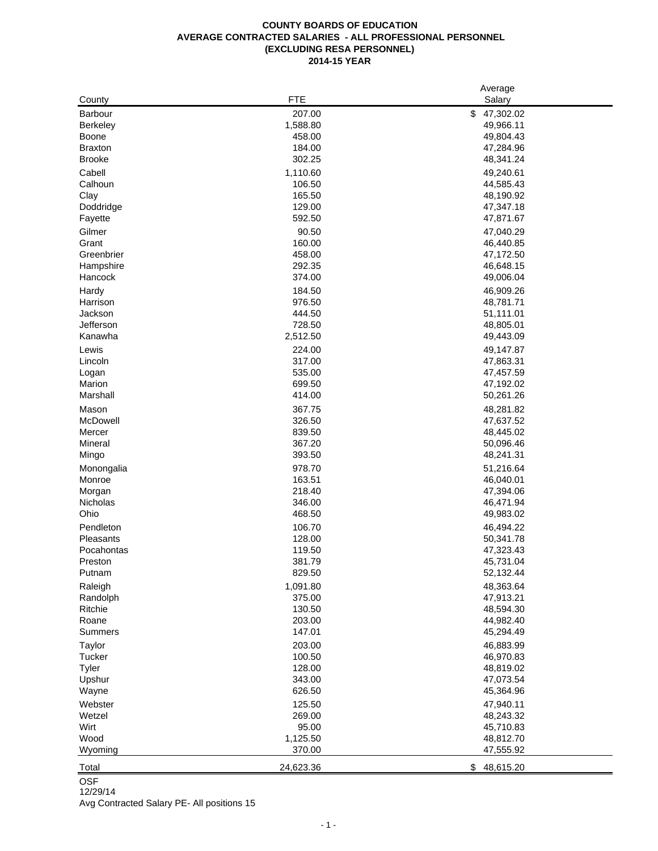|                 |            | Average         |
|-----------------|------------|-----------------|
| County          | <b>FTE</b> | Salary          |
| <b>Barbour</b>  | 207.00     | \$<br>47,302.02 |
| <b>Berkeley</b> | 1,588.80   | 49,966.11       |
| Boone           | 458.00     | 49,804.43       |
| <b>Braxton</b>  | 184.00     | 47,284.96       |
| <b>Brooke</b>   | 302.25     | 48,341.24       |
| Cabell          | 1,110.60   | 49,240.61       |
| Calhoun         | 106.50     | 44,585.43       |
| Clay            | 165.50     | 48,190.92       |
| Doddridge       | 129.00     | 47,347.18       |
| Fayette         | 592.50     | 47,871.67       |
| Gilmer          | 90.50      | 47,040.29       |
| Grant           | 160.00     | 46,440.85       |
| Greenbrier      | 458.00     | 47,172.50       |
| Hampshire       | 292.35     | 46,648.15       |
| Hancock         | 374.00     | 49,006.04       |
| Hardy           | 184.50     | 46,909.26       |
| Harrison        | 976.50     | 48,781.71       |
| Jackson         | 444.50     | 51,111.01       |
| Jefferson       | 728.50     | 48,805.01       |
| Kanawha         | 2,512.50   | 49,443.09       |
| Lewis           | 224.00     | 49,147.87       |
| Lincoln         | 317.00     | 47,863.31       |
| Logan           | 535.00     | 47,457.59       |
| Marion          | 699.50     | 47,192.02       |
| Marshall        | 414.00     | 50,261.26       |
| Mason           | 367.75     | 48,281.82       |
| McDowell        | 326.50     | 47,637.52       |
| Mercer          | 839.50     | 48,445.02       |
| Mineral         | 367.20     | 50,096.46       |
| Mingo           | 393.50     | 48,241.31       |
| Monongalia      | 978.70     | 51,216.64       |
| Monroe          | 163.51     | 46,040.01       |
| Morgan          | 218.40     | 47,394.06       |
| Nicholas        | 346.00     | 46,471.94       |
| Ohio            | 468.50     | 49,983.02       |
| Pendleton       | 106.70     | 46,494.22       |
| Pleasants       | 128.00     | 50,341.78       |
| Pocahontas      | 119.50     | 47,323.43       |
| Preston         | 381.79     | 45,731.04       |
| Putnam          | 829.50     | 52,132.44       |
| Raleigh         | 1,091.80   | 48,363.64       |
| Randolph        | 375.00     | 47,913.21       |
| Ritchie         | 130.50     | 48,594.30       |
| Roane           | 203.00     | 44,982.40       |
| Summers         | 147.01     | 45,294.49       |
| Taylor          | 203.00     | 46,883.99       |
| Tucker          | 100.50     | 46,970.83       |
| Tyler           | 128.00     | 48,819.02       |
| Upshur          | 343.00     | 47,073.54       |
| Wayne           | 626.50     | 45,364.96       |
| Webster         | 125.50     | 47,940.11       |
| Wetzel          | 269.00     | 48,243.32       |
| Wirt            | 95.00      | 45,710.83       |
| Wood            | 1,125.50   | 48,812.70       |
| Wyoming         | 370.00     | 47,555.92       |
|                 |            |                 |
| Total           | 24,623.36  | \$<br>48,615.20 |

**OSF** 

12/29/14 Avg Contracted Salary PE- All positions 15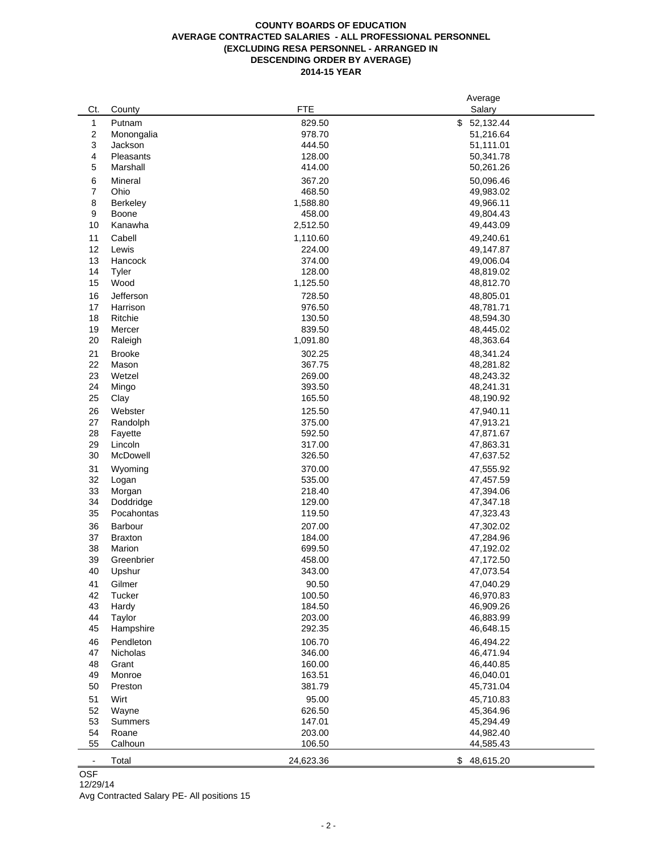# **COUNTY BOARDS OF EDUCATION AVERAGE CONTRACTED SALARIES - ALL PROFESSIONAL PERSONNEL (EXCLUDING RESA PERSONNEL - ARRANGED IN DESCENDING ORDER BY AVERAGE) 2014-15 YEAR**

|                          |                  |                  | Average                |
|--------------------------|------------------|------------------|------------------------|
| Ct.                      | County           | <b>FTE</b>       | Salary                 |
| 1                        | Putnam           | 829.50           | \$<br>52,132.44        |
| 2                        | Monongalia       | 978.70           | 51,216.64              |
| 3                        | Jackson          | 444.50           | 51,111.01              |
| 4                        | Pleasants        | 128.00           | 50,341.78              |
| 5                        | Marshall         | 414.00           | 50,261.26              |
| 6                        | Mineral          | 367.20           | 50,096.46              |
| $\overline{\mathbf{7}}$  | Ohio             | 468.50           | 49,983.02              |
| 8                        | <b>Berkeley</b>  | 1,588.80         | 49,966.11              |
| 9                        | Boone            | 458.00           | 49,804.43              |
| 10                       | Kanawha          | 2,512.50         | 49,443.09              |
| 11                       | Cabell           | 1,110.60         | 49,240.61              |
| 12                       | Lewis            | 224.00           | 49,147.87              |
| 13                       | Hancock          | 374.00           | 49,006.04              |
| 14                       | Tyler            | 128.00           | 48,819.02              |
| 15                       | Wood             | 1,125.50         | 48,812.70              |
| 16                       | Jefferson        | 728.50           | 48,805.01              |
| 17                       | Harrison         | 976.50           | 48,781.71              |
| 18                       | Ritchie          | 130.50           | 48,594.30              |
| 19                       | Mercer           | 839.50           | 48,445.02              |
| 20                       | Raleigh          | 1,091.80         | 48,363.64              |
|                          |                  |                  |                        |
| 21<br>22                 | <b>Brooke</b>    | 302.25           | 48,341.24              |
| 23                       | Mason            | 367.75           | 48,281.82              |
| 24                       | Wetzel           | 269.00           | 48,243.32              |
| 25                       | Mingo            | 393.50           | 48,241.31              |
|                          | Clay             | 165.50           | 48,190.92              |
| 26                       | Webster          | 125.50           | 47,940.11              |
| 27                       | Randolph         | 375.00           | 47,913.21              |
| 28                       | Fayette          | 592.50           | 47,871.67              |
| 29                       | Lincoln          | 317.00           | 47,863.31              |
| 30                       | McDowell         | 326.50           | 47,637.52              |
| 31                       | Wyoming          | 370.00           | 47,555.92              |
| 32                       | Logan            | 535.00           | 47,457.59              |
| 33                       | Morgan           | 218.40           | 47,394.06              |
| 34                       | Doddridge        | 129.00           | 47,347.18              |
| 35                       | Pocahontas       | 119.50           | 47,323.43              |
| 36                       | Barbour          | 207.00           | 47,302.02              |
| 37                       | <b>Braxton</b>   | 184.00           | 47,284.96              |
| 38                       | Marion           | 699.50           | 47,192.02              |
| 39                       | Greenbrier       | 458.00           | 47,172.50              |
| 40                       | Upshur           | 343.00           | 47,073.54              |
| 41                       | Gilmer           | 90.50            | 47,040.29              |
| 42                       | Tucker           | 100.50           | 46,970.83              |
| 43                       | Hardy            | 184.50           | 46,909.26              |
| 44                       | Taylor           | 203.00           | 46,883.99              |
| 45                       | Hampshire        | 292.35           | 46,648.15              |
| 46                       | Pendleton        | 106.70           | 46,494.22              |
| 47                       | Nicholas         | 346.00           | 46,471.94              |
| 48                       | Grant            | 160.00           | 46,440.85              |
| 49                       | Monroe           | 163.51           | 46,040.01              |
| 50                       | Preston          | 381.79           | 45,731.04              |
| 51                       | Wirt             | 95.00            | 45,710.83              |
|                          |                  |                  |                        |
| 52                       | Wayne            | 626.50           | 45,364.96              |
| 53<br>54                 | <b>Summers</b>   | 147.01           | 45,294.49              |
| 55                       | Roane<br>Calhoun | 203.00<br>106.50 | 44,982.40<br>44,585.43 |
|                          |                  |                  |                        |
| $\overline{\phantom{a}}$ | Total            | 24,623.36        | \$<br>48,615.20        |

OSF

# 12/29/14

Avg Contracted Salary PE- All positions 15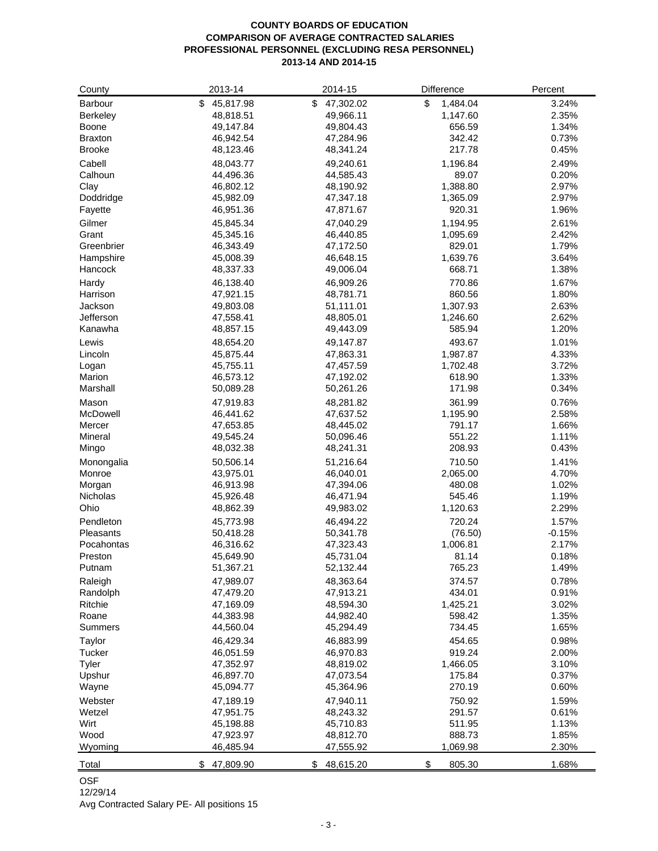# **COUNTY BOARDS OF EDUCATION COMPARISON OF AVERAGE CONTRACTED SALARIES PROFESSIONAL PERSONNEL (EXCLUDING RESA PERSONNEL) 2013-14 AND 2014-15**

| County         | 2013-14         | 2014-15         | Difference     | Percent  |
|----------------|-----------------|-----------------|----------------|----------|
| Barbour        | \$<br>45,817.98 | \$47,302.02     | \$<br>1,484.04 | 3.24%    |
| Berkeley       | 48,818.51       | 49,966.11       | 1,147.60       | 2.35%    |
| Boone          | 49,147.84       | 49,804.43       | 656.59         | 1.34%    |
| <b>Braxton</b> | 46,942.54       | 47,284.96       | 342.42         | 0.73%    |
| <b>Brooke</b>  | 48,123.46       | 48,341.24       | 217.78         | 0.45%    |
| Cabell         | 48,043.77       | 49,240.61       | 1,196.84       | 2.49%    |
| Calhoun        | 44,496.36       | 44,585.43       | 89.07          | 0.20%    |
| Clay           | 46,802.12       | 48,190.92       | 1,388.80       | 2.97%    |
| Doddridge      | 45,982.09       | 47,347.18       | 1,365.09       | 2.97%    |
| Fayette        | 46,951.36       | 47,871.67       | 920.31         | 1.96%    |
| Gilmer         | 45,845.34       | 47,040.29       | 1,194.95       | 2.61%    |
| Grant          | 45,345.16       | 46,440.85       | 1,095.69       | 2.42%    |
| Greenbrier     | 46,343.49       | 47,172.50       | 829.01         | 1.79%    |
| Hampshire      | 45,008.39       | 46,648.15       | 1,639.76       | 3.64%    |
| Hancock        | 48,337.33       | 49,006.04       | 668.71         | 1.38%    |
| Hardy          | 46,138.40       | 46,909.26       | 770.86         | 1.67%    |
| Harrison       | 47,921.15       | 48,781.71       | 860.56         | 1.80%    |
| Jackson        | 49,803.08       | 51,111.01       | 1,307.93       | 2.63%    |
| Jefferson      | 47,558.41       | 48,805.01       | 1,246.60       | 2.62%    |
| Kanawha        | 48,857.15       | 49,443.09       | 585.94         | 1.20%    |
| Lewis          | 48,654.20       | 49,147.87       | 493.67         | 1.01%    |
| Lincoln        | 45,875.44       | 47,863.31       | 1,987.87       | 4.33%    |
| Logan          | 45,755.11       | 47,457.59       | 1,702.48       | 3.72%    |
| Marion         | 46,573.12       | 47,192.02       | 618.90         | 1.33%    |
| Marshall       | 50,089.28       | 50,261.26       | 171.98         | 0.34%    |
| Mason          | 47,919.83       | 48,281.82       | 361.99         | 0.76%    |
| McDowell       | 46,441.62       | 47,637.52       | 1,195.90       | 2.58%    |
| Mercer         | 47,653.85       | 48,445.02       | 791.17         | 1.66%    |
| Mineral        | 49,545.24       | 50,096.46       | 551.22         | 1.11%    |
| Mingo          | 48,032.38       | 48,241.31       | 208.93         | 0.43%    |
| Monongalia     | 50,506.14       | 51,216.64       | 710.50         | 1.41%    |
| Monroe         | 43,975.01       | 46,040.01       | 2,065.00       | 4.70%    |
| Morgan         | 46,913.98       | 47,394.06       | 480.08         | 1.02%    |
| Nicholas       | 45,926.48       | 46,471.94       | 545.46         | 1.19%    |
| Ohio           | 48,862.39       | 49,983.02       | 1,120.63       | 2.29%    |
| Pendleton      | 45,773.98       | 46,494.22       | 720.24         | 1.57%    |
| Pleasants      | 50,418.28       | 50,341.78       | (76.50)        | $-0.15%$ |
| Pocahontas     | 46,316.62       | 47,323.43       | 1,006.81       | 2.17%    |
| Preston        | 45,649.90       | 45,731.04       | 81.14          | 0.18%    |
| Putnam         | 51,367.21       | 52,132.44       | 765.23         | 1.49%    |
| Raleigh        | 47,989.07       | 48,363.64       | 374.57         | 0.78%    |
| Randolph       | 47,479.20       | 47,913.21       | 434.01         | 0.91%    |
| Ritchie        | 47,169.09       | 48,594.30       | 1,425.21       | 3.02%    |
| Roane          | 44,383.98       | 44,982.40       | 598.42         | 1.35%    |
| Summers        | 44,560.04       | 45,294.49       | 734.45         | 1.65%    |
| Taylor         | 46,429.34       | 46,883.99       | 454.65         | 0.98%    |
| Tucker         | 46,051.59       | 46,970.83       | 919.24         | 2.00%    |
| Tyler          | 47,352.97       | 48,819.02       | 1,466.05       | 3.10%    |
| Upshur         | 46,897.70       | 47,073.54       | 175.84         | 0.37%    |
| Wayne          | 45,094.77       | 45,364.96       | 270.19         | 0.60%    |
| Webster        | 47,189.19       | 47,940.11       | 750.92         | 1.59%    |
| Wetzel         | 47,951.75       | 48,243.32       | 291.57         | 0.61%    |
| Wirt           | 45,198.88       | 45,710.83       | 511.95         | 1.13%    |
| Wood           | 47,923.97       | 48,812.70       | 888.73         | 1.85%    |
| Wyoming        | 46,485.94       | 47,555.92       | 1,069.98       | 2.30%    |
|                |                 |                 |                |          |
| Total          | 47,809.90<br>\$ | 48,615.20<br>\$ | \$<br>805.30   | 1.68%    |

# OSF

12/29/14

Avg Contracted Salary PE- All positions 15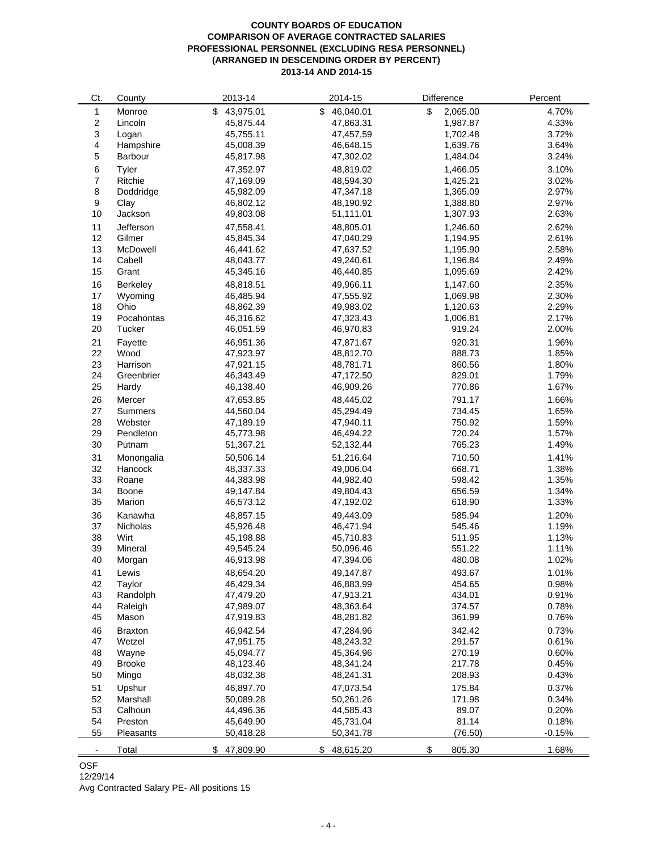# **COUNTY BOARDS OF EDUCATION COMPARISON OF AVERAGE CONTRACTED SALARIES PROFESSIONAL PERSONNEL (EXCLUDING RESA PERSONNEL) (ARRANGED IN DESCENDING ORDER BY PERCENT) 2013-14 AND 2014-15**

| Ct.                     | County            | 2013-14                | 2014-15                | Difference       | Percent        |
|-------------------------|-------------------|------------------------|------------------------|------------------|----------------|
| 1                       | Monroe            | 43,975.01<br>\$        | 46,040.01<br>\$        | \$<br>2,065.00   | 4.70%          |
| $\boldsymbol{2}$        | Lincoln           | 45,875.44              | 47,863.31              | 1,987.87         | 4.33%          |
| 3                       | Logan             | 45,755.11              | 47,457.59              | 1,702.48         | 3.72%          |
| $\overline{\mathbf{4}}$ | Hampshire         | 45,008.39              | 46,648.15              | 1,639.76         | 3.64%          |
| 5                       | Barbour           | 45,817.98              | 47,302.02              | 1,484.04         | 3.24%          |
| 6                       | Tyler             | 47,352.97              | 48,819.02              | 1,466.05         | 3.10%          |
| $\boldsymbol{7}$        | Ritchie           | 47,169.09              | 48,594.30              | 1,425.21         | 3.02%          |
| 8                       | Doddridge         | 45,982.09              | 47,347.18              | 1,365.09         | 2.97%          |
| 9                       | Clay              | 46,802.12              | 48,190.92              | 1,388.80         | 2.97%          |
| 10                      | Jackson           | 49,803.08              | 51,111.01              | 1,307.93         | 2.63%          |
| 11                      | Jefferson         | 47,558.41              | 48,805.01              | 1,246.60         | 2.62%          |
| 12                      | Gilmer            | 45,845.34              | 47,040.29              | 1,194.95         | 2.61%          |
| 13                      | McDowell          | 46,441.62              | 47,637.52              | 1,195.90         | 2.58%          |
| 14                      | Cabell            | 48,043.77              | 49,240.61              | 1,196.84         | 2.49%          |
| 15                      | Grant             | 45,345.16              | 46,440.85              | 1,095.69         | 2.42%          |
| 16                      | Berkeley          | 48,818.51              | 49,966.11              | 1,147.60         | 2.35%          |
| 17                      | Wyoming           | 46,485.94              | 47,555.92              | 1,069.98         | 2.30%          |
| 18                      | Ohio              | 48,862.39              | 49,983.02              | 1,120.63         | 2.29%          |
| 19                      | Pocahontas        | 46,316.62              | 47,323.43              | 1,006.81         | 2.17%          |
| 20                      | Tucker            | 46,051.59              | 46,970.83              | 919.24           | 2.00%          |
| 21                      | Fayette           | 46,951.36              | 47,871.67              | 920.31           | 1.96%          |
| 22                      | Wood              | 47,923.97              | 48,812.70              | 888.73           | 1.85%          |
| 23                      | Harrison          | 47,921.15              | 48,781.71              | 860.56           | 1.80%          |
| 24                      | Greenbrier        | 46,343.49              | 47,172.50              | 829.01           | 1.79%          |
| 25                      | Hardy             | 46,138.40              | 46,909.26              | 770.86           | 1.67%          |
| 26                      | Mercer            | 47,653.85              | 48,445.02              | 791.17           | 1.66%          |
| 27                      | Summers           | 44,560.04              | 45,294.49              | 734.45           | 1.65%          |
| 28                      | Webster           | 47,189.19              | 47,940.11              | 750.92           | 1.59%          |
| 29                      | Pendleton         | 45,773.98              | 46,494.22              | 720.24           | 1.57%          |
| 30                      | Putnam            | 51,367.21              | 52,132.44              | 765.23           | 1.49%          |
|                         |                   |                        |                        |                  |                |
| 31                      | Monongalia        | 50,506.14              | 51,216.64              | 710.50           | 1.41%          |
| 32                      | Hancock           | 48,337.33              | 49,006.04              | 668.71           | 1.38%          |
| 33<br>34                | Roane<br>Boone    | 44,383.98<br>49,147.84 | 44,982.40<br>49,804.43 | 598.42<br>656.59 | 1.35%<br>1.34% |
| 35                      | Marion            | 46,573.12              | 47,192.02              | 618.90           | 1.33%          |
|                         |                   |                        |                        |                  |                |
| 36                      | Kanawha           | 48,857.15              | 49,443.09              | 585.94           | 1.20%          |
| 37                      | Nicholas<br>Wirt  | 45,926.48              | 46,471.94              | 545.46           | 1.19%          |
| 38                      |                   | 45,198.88              | 45,710.83              | 511.95<br>551.22 | 1.13%<br>1.11% |
| 39<br>40                | Mineral<br>Morgan | 49,545.24<br>46,913.98 | 50,096.46<br>47,394.06 | 480.08           | 1.02%          |
|                         |                   |                        |                        |                  |                |
| 41                      | Lewis             | 48,654.20              | 49,147.87              | 493.67           | 1.01%          |
| 42<br>43                | Taylor            | 46,429.34              | 46,883.99              | 454.65<br>434.01 | 0.98%          |
| 44                      | Randolph          | 47,479.20              | 47,913.21              |                  | 0.91%          |
| 45                      | Raleigh<br>Mason  | 47,989.07<br>47,919.83 | 48,363.64<br>48,281.82 | 374.57<br>361.99 | 0.78%<br>0.76% |
|                         |                   |                        |                        |                  |                |
| 46                      | <b>Braxton</b>    | 46,942.54              | 47,284.96              | 342.42           | 0.73%          |
| 47                      | Wetzel            | 47,951.75              | 48,243.32              | 291.57           | 0.61%          |
| 48                      | Wayne             | 45,094.77              | 45,364.96              | 270.19<br>217.78 | 0.60%          |
| 49                      | <b>Brooke</b>     | 48,123.46              | 48,341.24              |                  | 0.45%          |
| 50                      | Mingo             | 48,032.38              | 48,241.31              | 208.93           | 0.43%          |
| 51                      | Upshur            | 46,897.70              | 47,073.54              | 175.84           | 0.37%          |
| 52                      | Marshall          | 50,089.28              | 50,261.26              | 171.98           | 0.34%          |
| 53                      | Calhoun           | 44,496.36              | 44,585.43              | 89.07            | 0.20%          |
| 54                      | Preston           | 45,649.90              | 45,731.04              | 81.14            | 0.18%          |
| 55                      | Pleasants         | 50,418.28              | 50,341.78              | (76.50)          | $-0.15%$       |
| $\blacksquare$          | Total             | 47,809.90<br>\$        | 48,615.20<br>S         | \$<br>805.30     | 1.68%          |

# OSF

12/29/14

Avg Contracted Salary PE- All positions 15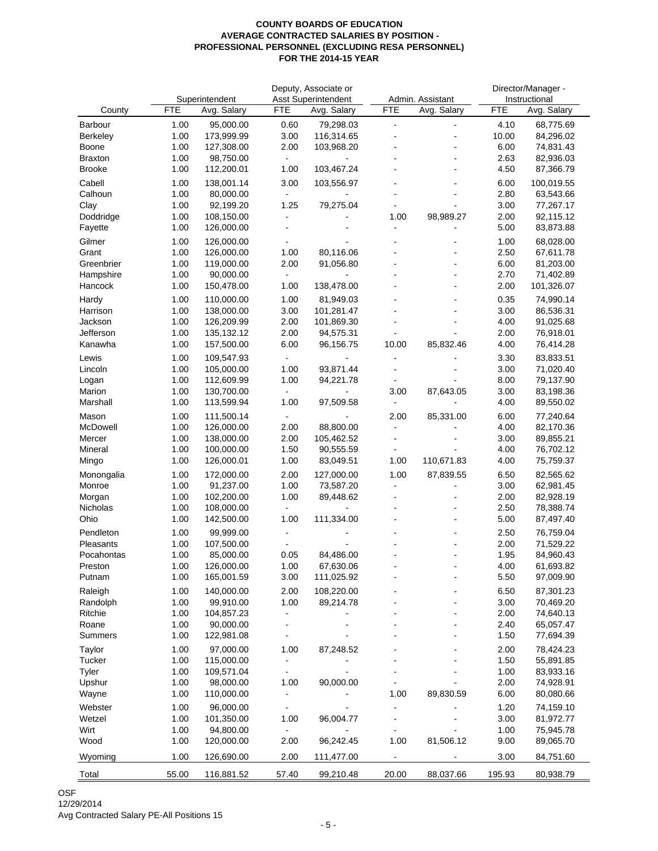|                 |            |                |                      | Deputy, Associate or       |                |                      |            | Director/Manager - |
|-----------------|------------|----------------|----------------------|----------------------------|----------------|----------------------|------------|--------------------|
|                 |            | Superintendent |                      | <b>Asst Superintendent</b> |                | Admin. Assistant     |            | Instructional      |
| County          | <b>FTE</b> | Avg. Salary    | FTE                  | Avg. Salary                | <b>FTE</b>     | Avg. Salary          | <b>FTE</b> | Avg. Salary        |
| Barbour         | 1.00       | 95,000.00      | 0.60                 | 79,298.03                  | $\blacksquare$ | $\blacksquare$       | 4.10       | 68,775.69          |
| <b>Berkeley</b> | 1.00       | 173,999.99     | 3.00                 | 116,314.65                 |                |                      | 10.00      | 84,296.02          |
| Boone           | 1.00       | 127,308.00     | 2.00                 | 103,968.20                 |                |                      | 6.00       | 74,831.43          |
| <b>Braxton</b>  | 1.00       | 98,750.00      |                      |                            |                |                      | 2.63       | 82,936.03          |
| <b>Brooke</b>   | 1.00       | 112,200.01     | 1.00                 | 103,467.24                 |                | L,                   | 4.50       | 87,366.79          |
| Cabell          | 1.00       | 138,001.14     | 3.00                 | 103,556.97                 |                | $\blacksquare$       | 6.00       | 100,019.55         |
| Calhoun         | 1.00       | 80,000.00      |                      |                            |                | $\overline{a}$       | 2.80       | 63,543.66          |
| Clay            | 1.00       | 92,199.20      | 1.25                 | 79,275.04                  |                |                      | 3.00       | 77,267.17          |
| Doddridge       | 1.00       | 108,150.00     |                      |                            | 1.00           | 98,989.27            | 2.00       | 92,115.12          |
| Fayette         | 1.00       | 126,000.00     |                      |                            |                | -                    | 5.00       | 83,873.88          |
| Gilmer          | 1.00       | 126,000.00     |                      |                            |                |                      | 1.00       | 68,028.00          |
| Grant           | 1.00       | 126,000.00     | 1.00                 | 80,116.06                  |                |                      | 2.50       | 67,611.78          |
| Greenbrier      | 1.00       | 119,000.00     | 2.00                 | 91,056.80                  |                | $\overline{a}$       | 6.00       | 81,203.00          |
| Hampshire       | 1.00       | 90,000.00      |                      |                            |                | $\overline{a}$       | 2.70       | 71,402.89          |
| Hancock         | 1.00       | 150,478.00     | 1.00                 | 138,478.00                 |                | $\blacksquare$       | 2.00       | 101,326.07         |
| Hardy           | 1.00       | 110,000.00     | 1.00                 | 81,949.03                  |                |                      | 0.35       | 74,990.14          |
| Harrison        | 1.00       | 138,000.00     | 3.00                 | 101,281.47                 |                |                      | 3.00       | 86,536.31          |
| Jackson         | 1.00       | 126,209.99     | 2.00                 | 101,869.30                 |                | $\overline{a}$       | 4.00       | 91,025.68          |
| Jefferson       | 1.00       | 135,132.12     | 2.00                 | 94,575.31                  |                |                      | 2.00       | 76,918.01          |
| Kanawha         | 1.00       | 157,500.00     | 6.00                 | 96,156.75                  | 10.00          | 85,832.46            | 4.00       | 76,414.28          |
| Lewis           | 1.00       | 109,547.93     |                      |                            |                |                      | 3.30       | 83,833.51          |
| Lincoln         | 1.00       | 105,000.00     | 1.00                 | 93,871.44                  |                |                      | 3.00       | 71,020.40          |
| Logan           | 1.00       | 112,609.99     | 1.00                 | 94,221.78                  |                |                      | 8.00       | 79,137.90          |
| Marion          | 1.00       | 130,700.00     |                      |                            | 3.00           | 87,643.05            | 3.00       | 83,198.36          |
| Marshall        | 1.00       | 113,599.94     | 1.00                 | 97,509.58                  | $\blacksquare$ |                      | 4.00       | 89,550.02          |
| Mason           | 1.00       | 111,500.14     |                      |                            | 2.00           | 85,331.00            | 6.00       | 77,240.64          |
| McDowell        | 1.00       | 126,000.00     | 2.00                 | 88,800.00                  | $\blacksquare$ |                      | 4.00       | 82,170.36          |
| Mercer          | 1.00       | 138,000.00     | 2.00                 | 105,462.52                 |                |                      | 3.00       | 89,855.21          |
| Mineral         | 1.00       | 100,000.00     | 1.50                 | 90,555.59                  |                |                      | 4.00       | 76,702.12          |
| Mingo           | 1.00       | 126,000.01     | 1.00                 | 83,049.51                  | 1.00           | 110,671.83           | 4.00       | 75,759.37          |
| Monongalia      | 1.00       | 172,000.00     | 2.00                 | 127,000.00                 | 1.00           | 87,839.55            | 6.50       | 82,565.62          |
| Monroe          | 1.00       | 91,237.00      | 1.00                 | 73,587.20                  | ä,             | $\overline{a}$       | 3.00       | 62,981.45          |
| Morgan          | 1.00       | 102,200.00     | 1.00                 | 89,448.62                  |                |                      | 2.00       | 82,928.19          |
| Nicholas        | 1.00       | 108,000.00     | $\blacksquare$       |                            |                | $\overline{a}$       | 2.50       | 78,388.74          |
| Ohio            | 1.00       | 142,500.00     | 1.00                 | 111,334.00                 |                | $\sim$               | 5.00       | 87,497.40          |
| Pendleton       | 1.00       | 99,999.00      |                      |                            |                |                      | 2.50       | 76,759.04          |
| Pleasants       | 1.00       | 107,500.00     |                      |                            |                | $\ddot{\phantom{1}}$ | 2.00       | 71,529.22          |
| Pocahontas      | 1.00       | 85,000.00      | 0.05                 | 84,486.00                  |                |                      | 1.95       | 84,960.43          |
| Preston         | 1.00       | 126,000.00     | 1.00                 | 67,630.06                  |                |                      | 4.00       | 61,693.82          |
| Putnam          | 1.00       | 165,001.59     | 3.00                 | 111,025.92                 |                | -                    | 5.50       | 97,009.90          |
| Raleigh         | 1.00       | 140,000.00     | 2.00                 | 108,220.00                 |                |                      | 6.50       | 87,301.23          |
| Randolph        | 1.00       | 99,910.00      | 1.00                 | 89,214.78                  |                | $\overline{a}$       | 3.00       | 70,469.20          |
| Ritchie         | 1.00       | 104,857.23     |                      |                            |                |                      | 2.00       | 74,640.13          |
| Roane           | 1.00       | 90,000.00      |                      |                            |                |                      | 2.40       | 65,057.47          |
| Summers         | 1.00       | 122,981.08     | $\ddot{\phantom{1}}$ |                            |                |                      | 1.50       | 77,694.39          |
| Taylor          | 1.00       | 97,000.00      | 1.00                 | 87,248.52                  |                |                      | 2.00       | 78,424.23          |
| Tucker          | 1.00       | 115,000.00     | $\blacksquare$       |                            |                |                      | 1.50       | 55,891.85          |
| Tyler           | 1.00       | 109,571.04     |                      |                            |                |                      | 1.00       | 83,933.16          |
| Upshur          | 1.00       | 98,000.00      | 1.00                 | 90,000.00                  |                |                      | 2.00       | 74,928.91          |
| Wayne           | 1.00       | 110,000.00     | $\frac{1}{2}$        |                            | 1.00           | 89,830.59            | 6.00       | 80,080.66          |
| Webster         | 1.00       | 96,000.00      |                      |                            |                |                      | 1.20       | 74,159.10          |
| Wetzel          | 1.00       | 101,350.00     | 1.00                 | 96,004.77                  | ÷              |                      | 3.00       | 81,972.77          |
| Wirt            | 1.00       | 94,800.00      |                      |                            |                |                      | 1.00       | 75,945.78          |
| Wood            | 1.00       | 120,000.00     | 2.00                 | 96,242.45                  | 1.00           | 81,506.12            | 9.00       | 89,065.70          |
| Wyoming         | 1.00       | 126,690.00     | 2.00                 | 111,477.00                 | $\blacksquare$ |                      | 3.00       | 84,751.60          |
| Total           | 55.00      | 116,881.52     | 57.40                | 99,210.48                  | 20.00          | 88,037.66            | 195.93     | 80,938.79          |
|                 |            |                |                      |                            |                |                      |            |                    |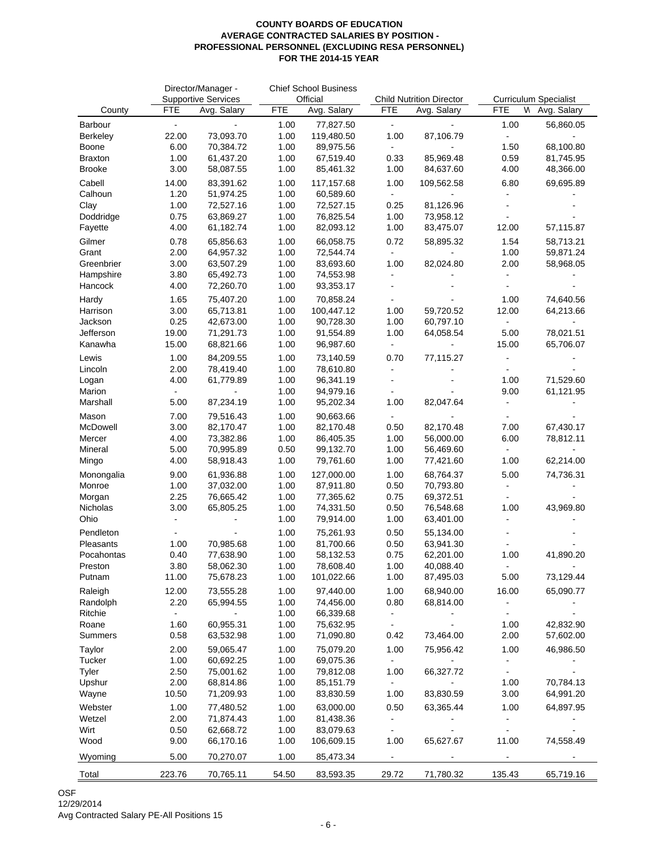|                     |                | Director/Manager -                        |              | <b>Chief School Business</b> |                      |                                                | <b>Curriculum Specialist</b> |             |
|---------------------|----------------|-------------------------------------------|--------------|------------------------------|----------------------|------------------------------------------------|------------------------------|-------------|
| County              | <b>FTE</b>     | <b>Supportive Services</b><br>Avg. Salary | <b>FTE</b>   | Official<br>Avg. Salary      | <b>FTE</b>           | <b>Child Nutrition Director</b><br>Avg. Salary | <b>FTE</b><br>Ν              | Avg. Salary |
|                     | $\overline{a}$ |                                           |              |                              |                      |                                                |                              |             |
| Barbour<br>Berkeley | 22.00          | 73,093.70                                 | 1.00<br>1.00 | 77,827.50<br>119,480.50      | $\mathbf{r}$<br>1.00 | 87,106.79                                      | 1.00                         | 56,860.05   |
| Boone               | 6.00           | 70,384.72                                 | 1.00         | 89,975.56                    | $\blacksquare$       |                                                | 1.50                         | 68,100.80   |
| Braxton             | 1.00           | 61,437.20                                 | 1.00         | 67,519.40                    | 0.33                 | 85,969.48                                      | 0.59                         | 81,745.95   |
| Brooke              | 3.00           | 58,087.55                                 | 1.00         | 85,461.32                    | 1.00                 | 84,637.60                                      | 4.00                         | 48,366.00   |
| Cabell              | 14.00          | 83,391.62                                 | 1.00         | 117,157.68                   | 1.00                 | 109,562.58                                     | 6.80                         | 69,695.89   |
| Calhoun             | 1.20           | 51,974.25                                 | 1.00         | 60,589.60                    | $\blacksquare$       |                                                |                              |             |
| Clay                | 1.00           | 72,527.16                                 | 1.00         | 72,527.15                    | 0.25                 | 81,126.96                                      |                              |             |
| Doddridge           | 0.75           | 63,869.27                                 | 1.00         | 76,825.54                    | 1.00                 | 73,958.12                                      |                              |             |
| Fayette             | 4.00           | 61,182.74                                 | 1.00         | 82,093.12                    | 1.00                 | 83,475.07                                      | 12.00                        | 57,115.87   |
| Gilmer              | 0.78           | 65,856.63                                 | 1.00         | 66,058.75                    | 0.72                 | 58,895.32                                      | 1.54                         | 58,713.21   |
| Grant               | 2.00           | 64,957.32                                 | 1.00         | 72,544.74                    | $\blacksquare$       |                                                | 1.00                         | 59,871.24   |
| Greenbrier          | 3.00           | 63,507.29                                 | 1.00         | 83,693.60                    | 1.00                 | 82,024.80                                      | 2.00                         | 58,968.05   |
| Hampshire           | 3.80           | 65,492.73                                 | 1.00         | 74,553.98                    | ä,                   |                                                |                              |             |
| Hancock             | 4.00           | 72,260.70                                 | 1.00         | 93,353.17                    |                      |                                                |                              |             |
| Hardy               | 1.65           | 75,407.20                                 | 1.00         | 70,858.24                    |                      |                                                | 1.00                         | 74,640.56   |
| Harrison            | 3.00           | 65,713.81                                 | 1.00         | 100,447.12                   | 1.00                 | 59,720.52                                      | 12.00                        | 64,213.66   |
| Jackson             | 0.25           | 42,673.00                                 | 1.00         | 90,728.30                    | 1.00                 | 60,797.10                                      | $\blacksquare$               |             |
| Jefferson           | 19.00          | 71,291.73                                 | 1.00         | 91,554.89                    | 1.00                 | 64,058.54                                      | 5.00                         | 78,021.51   |
| Kanawha             | 15.00          | 68,821.66                                 | 1.00         | 96,987.60                    | $\blacksquare$       |                                                | 15.00                        | 65,706.07   |
| Lewis               | 1.00           | 84,209.55                                 | 1.00         | 73,140.59                    | 0.70                 | 77,115.27                                      |                              |             |
| Lincoln             | 2.00           | 78,419.40                                 | 1.00         | 78,610.80                    |                      |                                                |                              |             |
| Logan               | 4.00           | 61,779.89                                 | 1.00         | 96,341.19                    |                      |                                                | 1.00                         | 71,529.60   |
| Marion              |                |                                           | 1.00         | 94,979.16                    | $\blacksquare$       |                                                | 9.00                         | 61,121.95   |
| Marshall            | 5.00           | 87,234.19                                 | 1.00         | 95,202.34                    | 1.00                 | 82,047.64                                      |                              |             |
| Mason               | 7.00           | 79,516.43                                 | 1.00         | 90,663.66                    |                      |                                                |                              |             |
| McDowell            | 3.00           | 82,170.47                                 | 1.00         | 82,170.48                    | 0.50                 | 82,170.48                                      | 7.00                         | 67,430.17   |
| Mercer              | 4.00           | 73,382.86                                 | 1.00         | 86,405.35                    | 1.00                 | 56,000.00                                      | 6.00                         | 78,812.11   |
| Mineral             | 5.00           | 70,995.89                                 | 0.50         | 99,132.70                    | 1.00                 | 56,469.60                                      |                              |             |
| Mingo               | 4.00           | 58,918.43                                 | 1.00         | 79,761.60                    | 1.00                 | 77,421.60                                      | 1.00                         | 62,214.00   |
| Monongalia          | 9.00           | 61,936.88                                 | 1.00         | 127,000.00                   | 1.00                 | 68,764.37                                      | 5.00                         | 74,736.31   |
| Monroe              | 1.00           | 37,032.00                                 | 1.00         | 87,911.80                    | 0.50                 | 70,793.80                                      |                              |             |
| Morgan              | 2.25           | 76,665.42                                 | 1.00         | 77,365.62                    | 0.75                 | 69,372.51                                      |                              |             |
| Nicholas            | 3.00           | 65,805.25                                 | 1.00         | 74,331.50                    | 0.50                 | 76,548.68                                      | 1.00                         | 43,969.80   |
| Ohio                |                |                                           | 1.00         | 79,914.00                    | 1.00                 | 63,401.00                                      |                              |             |
| Pendleton           |                |                                           | 1.00         | 75,261.93                    | 0.50                 | 55,134.00                                      |                              |             |
| Pleasants           | 1.00           | 70,985.68                                 | 1.00         | 81,700.66                    | 0.50                 | 63,941.30                                      |                              |             |
| Pocahontas          | 0.40           | 77,638.90                                 | 1.00         | 58,132.53                    | 0.75                 | 62,201.00                                      | 1.00                         | 41,890.20   |
| Preston             | 3.80           | 58,062.30                                 | 1.00         | 78,608.40                    | 1.00                 | 40,088.40                                      |                              |             |
| Putnam              | 11.00          | 75,678.23                                 | 1.00         | 101,022.66                   | 1.00                 | 87,495.03                                      | 5.00                         | 73,129.44   |
| Raleigh             | 12.00          | 73,555.28                                 | 1.00         | 97,440.00                    | 1.00                 | 68,940.00                                      | 16.00                        | 65,090.77   |
| Randolph            | 2.20           | 65,994.55                                 | 1.00         | 74,456.00                    | 0.80                 | 68,814.00                                      |                              |             |
| Ritchie             | $\blacksquare$ | $\blacksquare$                            | 1.00         | 66,339.68                    | $\blacksquare$       |                                                |                              |             |
| Roane               | 1.60           | 60,955.31                                 | 1.00         | 75,632.95                    | $\blacksquare$       |                                                | 1.00                         | 42,832.90   |
| Summers             | 0.58           | 63,532.98                                 | 1.00         | 71,090.80                    | 0.42                 | 73,464.00                                      | 2.00                         | 57,602.00   |
| Taylor              | 2.00           | 59,065.47                                 | 1.00         | 75,079.20                    | 1.00                 | 75,956.42                                      | 1.00                         | 46,986.50   |
| Tucker              | 1.00           | 60,692.25                                 | 1.00         | 69,075.36                    | $\blacksquare$       |                                                |                              |             |
| Tyler               | 2.50           | 75,001.62                                 | 1.00         | 79,812.08                    | 1.00                 | 66,327.72                                      |                              |             |
| Upshur              | 2.00           | 68,814.86                                 | 1.00         | 85,151.79                    | $\blacksquare$       |                                                | 1.00                         | 70,784.13   |
| Wayne               | 10.50          | 71,209.93                                 | 1.00         | 83,830.59                    | 1.00                 | 83,830.59                                      | 3.00                         | 64,991.20   |
| Webster             | 1.00           | 77,480.52                                 | 1.00         | 63,000.00                    | 0.50                 | 63,365.44                                      | 1.00                         | 64,897.95   |
| Wetzel              | 2.00           | 71,874.43                                 | 1.00         | 81,438.36                    | $\blacksquare$       |                                                |                              |             |
| Wirt                | 0.50           | 62,668.72                                 | 1.00         | 83,079.63                    |                      |                                                |                              |             |
| Wood                | 9.00           | 66,170.16                                 | 1.00         | 106,609.15                   | 1.00                 | 65,627.67                                      | 11.00                        | 74,558.49   |
| Wyoming             | 5.00           | 70,270.07                                 | 1.00         | 85,473.34                    |                      |                                                |                              |             |
| Total               | 223.76         | 70,765.11                                 | 54.50        | 83,593.35                    | 29.72                | 71,780.32                                      | 135.43                       | 65,719.16   |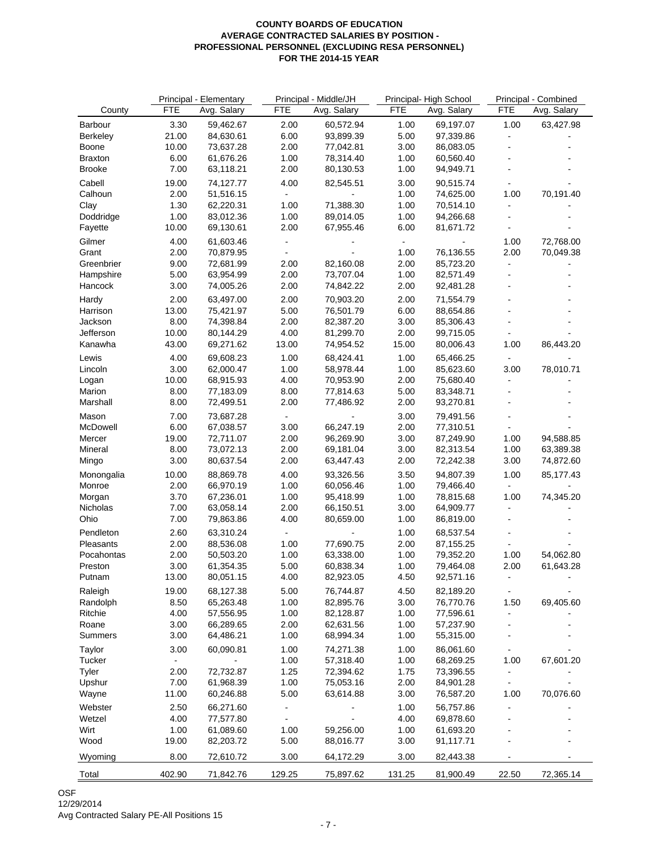|                | Principal - Middle/JH<br>Principal - Elementary |             | Principal-High School        |             | Principal - Combined |             |                |                |
|----------------|-------------------------------------------------|-------------|------------------------------|-------------|----------------------|-------------|----------------|----------------|
| County         | <b>FTE</b>                                      | Avg. Salary | <b>FTE</b>                   | Avg. Salary | <b>FTE</b>           | Avg. Salary | <b>FTE</b>     | Avg. Salary    |
| Barbour        | 3.30                                            | 59,462.67   | 2.00                         | 60,572.94   | 1.00                 | 69,197.07   | 1.00           | 63,427.98      |
| Berkeley       | 21.00                                           | 84,630.61   | 6.00                         | 93,899.39   | 5.00                 | 97,339.86   | $\blacksquare$ |                |
| Boone          | 10.00                                           | 73,637.28   | 2.00                         | 77,042.81   | 3.00                 | 86,083.05   |                |                |
| <b>Braxton</b> | 6.00                                            | 61,676.26   | 1.00                         | 78,314.40   | 1.00                 | 60,560.40   | L,             |                |
| <b>Brooke</b>  | 7.00                                            | 63,118.21   | 2.00                         |             | 1.00                 |             | $\blacksquare$ |                |
|                |                                                 |             |                              | 80,130.53   |                      | 94,949.71   |                |                |
| Cabell         | 19.00                                           | 74,127.77   | 4.00                         | 82,545.51   | 3.00                 | 90,515.74   |                |                |
| Calhoun        | 2.00                                            | 51,516.15   |                              |             | 1.00                 | 74,625.00   | 1.00           | 70,191.40      |
| Clay           | 1.30                                            | 62,220.31   | 1.00                         | 71,388.30   | 1.00                 | 70,514.10   |                |                |
| Doddridge      | 1.00                                            | 83,012.36   | 1.00                         | 89,014.05   | 1.00                 | 94,266.68   |                |                |
| Fayette        | 10.00                                           | 69,130.61   | 2.00                         | 67,955.46   | 6.00                 | 81,671.72   |                |                |
| Gilmer         | 4.00                                            | 61,603.46   | $\blacksquare$               |             | $\blacksquare$       |             | 1.00           | 72,768.00      |
| Grant          | 2.00                                            | 70,879.95   |                              |             | 1.00                 | 76,136.55   | 2.00           | 70,049.38      |
| Greenbrier     | 9.00                                            | 72,681.99   | 2.00                         | 82,160.08   | 2.00                 | 85,723.20   | $\blacksquare$ |                |
| Hampshire      | 5.00                                            | 63,954.99   | 2.00                         | 73,707.04   | 1.00                 | 82,571.49   |                |                |
| Hancock        | 3.00                                            | 74,005.26   | 2.00                         | 74,842.22   | 2.00                 | 92,481.28   |                |                |
| Hardy          | 2.00                                            | 63,497.00   | 2.00                         | 70,903.20   | 2.00                 | 71,554.79   |                |                |
| Harrison       | 13.00                                           | 75,421.97   | 5.00                         | 76,501.79   | 6.00                 | 88,654.86   | $\overline{a}$ |                |
|                | 8.00                                            | 74,398.84   |                              |             |                      |             | ä,             | $\blacksquare$ |
| Jackson        |                                                 |             | 2.00                         | 82,387.20   | 3.00                 | 85,306.43   |                |                |
| Jefferson      | 10.00                                           | 80,144.29   | 4.00                         | 81,299.70   | 2.00                 | 99,715.05   |                |                |
| Kanawha        | 43.00                                           | 69,271.62   | 13.00                        | 74,954.52   | 15.00                | 80,006.43   | 1.00           | 86,443.20      |
| Lewis          | 4.00                                            | 69,608.23   | 1.00                         | 68,424.41   | 1.00                 | 65,466.25   |                |                |
| Lincoln        | 3.00                                            | 62,000.47   | 1.00                         | 58,978.44   | 1.00                 | 85,623.60   | 3.00           | 78,010.71      |
| Logan          | 10.00                                           | 68,915.93   | 4.00                         | 70,953.90   | 2.00                 | 75,680.40   | $\blacksquare$ |                |
| Marion         | 8.00                                            | 77,183.09   | 8.00                         | 77,814.63   | 5.00                 | 83,348.71   |                |                |
| Marshall       | 8.00                                            | 72,499.51   | 2.00                         | 77,486.92   | 2.00                 | 93,270.81   |                |                |
| Mason          | 7.00                                            | 73,687.28   | $\blacksquare$               |             | 3.00                 | 79,491.56   |                |                |
| McDowell       | 6.00                                            | 67,038.57   | 3.00                         | 66,247.19   | 2.00                 | 77,310.51   |                |                |
| Mercer         | 19.00                                           | 72,711.07   | 2.00                         | 96,269.90   | 3.00                 | 87,249.90   | 1.00           | 94,588.85      |
| Mineral        | 8.00                                            | 73,072.13   | 2.00                         | 69,181.04   | 3.00                 | 82,313.54   | 1.00           | 63,389.38      |
| Mingo          | 3.00                                            | 80,637.54   | 2.00                         | 63,447.43   | 2.00                 | 72,242.38   | 3.00           | 74,872.60      |
|                |                                                 |             |                              |             |                      | 94,807.39   |                |                |
| Monongalia     | 10.00                                           | 88,869.78   | 4.00                         | 93,326.56   | 3.50                 |             | 1.00           | 85,177.43      |
| Monroe         | 2.00                                            | 66,970.19   | 1.00                         | 60,056.46   | 1.00                 | 79,466.40   |                |                |
| Morgan         | 3.70                                            | 67,236.01   | 1.00                         | 95,418.99   | 1.00                 | 78,815.68   | 1.00           | 74,345.20      |
| Nicholas       | 7.00                                            | 63,058.14   | 2.00                         | 66,150.51   | 3.00                 | 64,909.77   |                |                |
| Ohio           | 7.00                                            | 79,863.86   | 4.00                         | 80,659.00   | 1.00                 | 86,819.00   |                |                |
| Pendleton      | 2.60                                            | 63,310.24   |                              |             | 1.00                 | 68,537.54   |                |                |
| Pleasants      | 2.00                                            | 88,536.08   | 1.00                         | 77,690.75   | 2.00                 | 87,155.25   |                |                |
| Pocahontas     | 2.00                                            | 50,503.20   | 1.00                         | 63,338.00   | 1.00                 | 79,352.20   | 1.00           | 54,062.80      |
| Preston        | 3.00                                            | 61,354.35   | 5.00                         | 60,838.34   | 1.00                 | 79,464.08   | 2.00           | 61,643.28      |
| Putnam         | 13.00                                           | 80,051.15   | 4.00                         | 82,923.05   | 4.50                 | 92,571.16   |                |                |
| Raleigh        | 19.00                                           | 68,127.38   | 5.00                         | 76,744.87   | 4.50                 | 82,189.20   |                |                |
| Randolph       | 8.50                                            | 65,263.48   | 1.00                         | 82,895.76   | 3.00                 | 76,770.76   | 1.50           | 69,405.60      |
| Ritchie        | 4.00                                            | 57,556.95   | 1.00                         | 82,128.87   | 1.00                 | 77,596.61   |                |                |
| Roane          | 3.00                                            | 66,289.65   | 2.00                         | 62,631.56   | 1.00                 | 57,237.90   |                |                |
| Summers        | 3.00                                            | 64,486.21   | 1.00                         | 68,994.34   | 1.00                 | 55,315.00   |                |                |
|                |                                                 |             |                              |             |                      |             |                |                |
| Taylor         | 3.00                                            | 60,090.81   | 1.00                         | 74,271.38   | 1.00                 | 86,061.60   |                |                |
| Tucker         | $\blacksquare$                                  |             | 1.00                         | 57,318.40   | 1.00                 | 68,269.25   | 1.00           | 67,601.20      |
| Tyler          | 2.00                                            | 72,732.87   | 1.25                         | 72,394.62   | 1.75                 | 73,396.55   | $\blacksquare$ |                |
| Upshur         | 7.00                                            | 61,968.39   | 1.00                         | 75,053.16   | 2.00                 | 84,901.28   |                |                |
| Wayne          | 11.00                                           | 60,246.88   | 5.00                         | 63,614.88   | 3.00                 | 76,587.20   | 1.00           | 70,076.60      |
| Webster        | 2.50                                            | 66,271.60   | $\overline{\phantom{0}}$     |             | 1.00                 | 56,757.86   |                |                |
| Wetzel         | 4.00                                            | 77,577.80   | $\qquad \qquad \blacksquare$ |             | 4.00                 | 69,878.60   |                |                |
| Wirt           | 1.00                                            | 61,089.60   | 1.00                         | 59,256.00   | 1.00                 | 61,693.20   |                |                |
| Wood           | 19.00                                           | 82,203.72   | 5.00                         | 88,016.77   | 3.00                 | 91,117.71   |                |                |
| Wyoming        | 8.00                                            | 72,610.72   | 3.00                         | 64,172.29   | 3.00                 | 82,443.38   |                |                |
| Total          | 402.90                                          | 71,842.76   | 129.25                       | 75,897.62   | 131.25               | 81,900.49   | 22.50          | 72,365.14      |
|                |                                                 |             |                              |             |                      |             |                |                |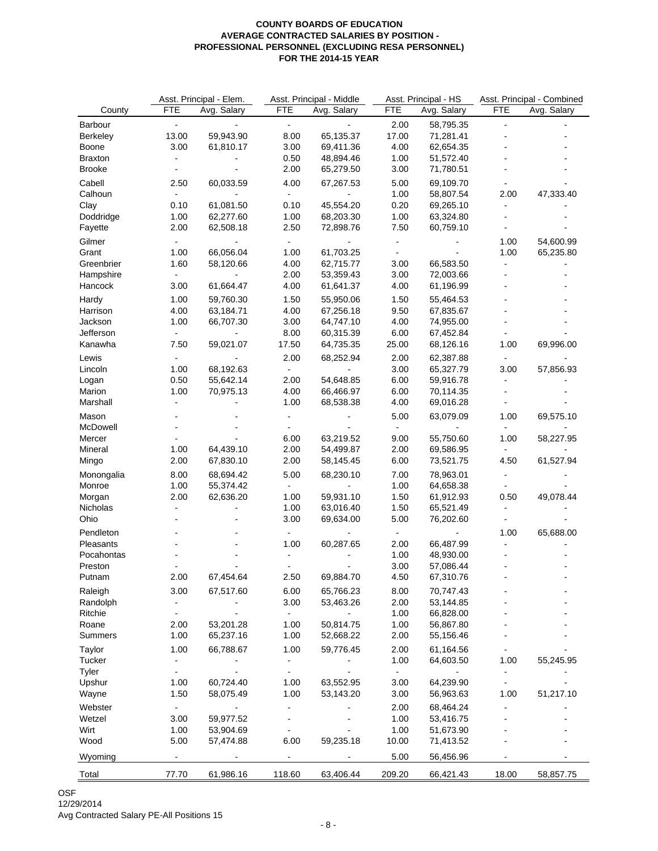|                 | Asst. Principal - Elem. |             | Asst. Principal - Middle |             |                | Asst. Principal - HS | Asst. Principal - Combined |             |
|-----------------|-------------------------|-------------|--------------------------|-------------|----------------|----------------------|----------------------------|-------------|
| County          | <b>FTE</b>              | Avg. Salary | <b>FTE</b>               | Avg. Salary | <b>FTE</b>     | Avg. Salary          | <b>FTE</b>                 | Avg. Salary |
| Barbour         | $\blacksquare$          |             | $\blacksquare$           |             | 2.00           | 58,795.35            | ä,                         |             |
| <b>Berkeley</b> | 13.00                   | 59,943.90   | 8.00                     | 65,135.37   | 17.00          | 71,281.41            |                            |             |
| Boone           | 3.00                    | 61,810.17   | 3.00                     | 69,411.36   | 4.00           | 62,654.35            |                            |             |
| <b>Braxton</b>  |                         |             | 0.50                     | 48,894.46   | 1.00           | 51,572.40            |                            |             |
| <b>Brooke</b>   |                         |             | 2.00                     | 65,279.50   | 3.00           | 71,780.51            |                            |             |
| Cabell          | 2.50                    | 60,033.59   | 4.00                     | 67,267.53   | 5.00           | 69,109.70            |                            |             |
| Calhoun         |                         |             |                          |             | 1.00           | 58,807.54            | 2.00                       | 47,333.40   |
| Clay            | 0.10                    | 61,081.50   | 0.10                     | 45,554.20   | 0.20           | 69,265.10            |                            |             |
| Doddridge       | 1.00                    | 62,277.60   | 1.00                     | 68,203.30   | 1.00           | 63,324.80            |                            |             |
| Fayette         | 2.00                    | 62,508.18   | 2.50                     | 72,898.76   | 7.50           | 60,759.10            |                            |             |
|                 |                         |             |                          |             |                |                      |                            |             |
| Gilmer          | $\blacksquare$          |             | $\blacksquare$           |             | $\blacksquare$ |                      | 1.00                       | 54,600.99   |
| Grant           | 1.00                    | 66,056.04   | 1.00                     | 61,703.25   | $\sim$         |                      | 1.00                       | 65,235.80   |
| Greenbrier      | 1.60                    | 58,120.66   | 4.00                     | 62,715.77   | 3.00           | 66,583.50            | $\blacksquare$             |             |
| Hampshire       | $\blacksquare$          |             | 2.00                     | 53,359.43   | 3.00           | 72,003.66            |                            |             |
| Hancock         | 3.00                    | 61,664.47   | 4.00                     | 61,641.37   | 4.00           | 61,196.99            |                            |             |
| Hardy           | 1.00                    | 59,760.30   | 1.50                     | 55,950.06   | 1.50           | 55,464.53            |                            |             |
| Harrison        | 4.00                    | 63,184.71   | 4.00                     | 67,256.18   | 9.50           | 67,835.67            |                            |             |
| Jackson         | 1.00                    | 66,707.30   | 3.00                     | 64,747.10   | 4.00           | 74,955.00            |                            |             |
| Jefferson       |                         |             | 8.00                     | 60,315.39   | 6.00           | 67,452.84            |                            |             |
| Kanawha         | 7.50                    | 59,021.07   | 17.50                    | 64,735.35   | 25.00          | 68,126.16            | 1.00                       | 69,996.00   |
| Lewis           | $\blacksquare$          |             | 2.00                     | 68,252.94   | 2.00           | 62,387.88            | $\blacksquare$             |             |
| Lincoln         | 1.00                    | 68,192.63   |                          |             | 3.00           | 65,327.79            | 3.00                       | 57,856.93   |
| Logan           | 0.50                    | 55,642.14   | 2.00                     | 54,648.85   | 6.00           | 59,916.78            | $\blacksquare$             |             |
| Marion          | 1.00                    | 70,975.13   | 4.00                     | 66,466.97   | 6.00           | 70,114.35            |                            |             |
| Marshall        |                         |             | 1.00                     | 68,538.38   | 4.00           | 69,016.28            |                            |             |
| Mason           |                         |             |                          |             | 5.00           | 63,079.09            | 1.00                       | 69,575.10   |
| McDowell        |                         |             |                          |             |                |                      |                            |             |
| Mercer          |                         |             | 6.00                     | 63,219.52   | 9.00           | 55,750.60            | 1.00                       | 58,227.95   |
| Mineral         | 1.00                    | 64,439.10   | 2.00                     | 54,499.87   | 2.00           | 69,586.95            |                            |             |
| Mingo           | 2.00                    | 67,830.10   | 2.00                     | 58,145.45   | 6.00           | 73,521.75            | 4.50                       | 61,527.94   |
|                 |                         |             |                          |             |                |                      |                            |             |
| Monongalia      | 8.00                    | 68,694.42   | 5.00                     | 68,230.10   | 7.00           | 78,963.01            |                            |             |
| Monroe          | 1.00                    | 55,374.42   |                          |             | 1.00           | 64,658.38            |                            |             |
| Morgan          | 2.00                    | 62,636.20   | 1.00                     | 59,931.10   | 1.50           | 61,912.93            | 0.50                       | 49,078.44   |
| Nicholas        | $\frac{1}{2}$           |             | 1.00                     | 63,016.40   | 1.50           | 65,521.49            |                            |             |
| Ohio            |                         |             | 3.00                     | 69,634.00   | 5.00           | 76,202.60            |                            |             |
| Pendleton       |                         |             |                          |             |                |                      | 1.00                       | 65,688.00   |
| Pleasants       |                         |             | 1.00                     | 60,287.65   | 2.00           | 66,487.99            |                            |             |
| Pocahontas      |                         |             |                          |             | 1.00           | 48,930.00            |                            |             |
| Preston         |                         |             |                          |             | 3.00           | 57,086.44            |                            |             |
| Putnam          | 2.00                    | 67,454.64   | 2.50                     | 69,884.70   | 4.50           | 67,310.76            |                            |             |
| Raleigh         | 3.00                    | 67,517.60   | 6.00                     | 65,766.23   | 8.00           | 70,747.43            |                            |             |
| Randolph        |                         |             | 3.00                     | 53,463.26   | 2.00           | 53,144.85            |                            |             |
| Ritchie         |                         |             |                          |             | 1.00           | 66,828.00            |                            |             |
| Roane           | 2.00                    | 53,201.28   | 1.00                     | 50,814.75   | 1.00           | 56,867.80            |                            |             |
| Summers         | 1.00                    | 65,237.16   | 1.00                     | 52,668.22   | 2.00           | 55,156.46            |                            |             |
| Taylor          | 1.00                    | 66,788.67   | 1.00                     | 59,776.45   | 2.00           | 61,164.56            |                            |             |
| Tucker          |                         |             |                          |             | 1.00           | 64,603.50            | 1.00                       | 55,245.95   |
| Tyler           |                         |             | $\blacksquare$           |             | $\blacksquare$ | $\blacksquare$       | $\blacksquare$             |             |
| Upshur          | 1.00                    | 60,724.40   | 1.00                     | 63,552.95   | 3.00           | 64,239.90            |                            |             |
| Wayne           | 1.50                    | 58,075.49   | 1.00                     | 53,143.20   | 3.00           | 56,963.63            | 1.00                       | 51,217.10   |
|                 |                         |             |                          |             |                |                      |                            |             |
| Webster         | $\frac{1}{2}$           |             |                          |             | 2.00           | 68,464.24            |                            |             |
| Wetzel          | 3.00                    | 59,977.52   |                          |             | 1.00           | 53,416.75            |                            |             |
| Wirt            | 1.00                    | 53,904.69   |                          |             | 1.00           | 51,673.90            |                            |             |
| Wood            | 5.00                    | 57,474.88   | 6.00                     | 59,235.18   | 10.00          | 71,413.52            |                            |             |
| Wyoming         |                         |             |                          |             | 5.00           | 56,456.96            |                            |             |
| Total           | 77.70                   | 61,986.16   | 118.60                   | 63,406.44   | 209.20         | 66,421.43            | 18.00                      | 58,857.75   |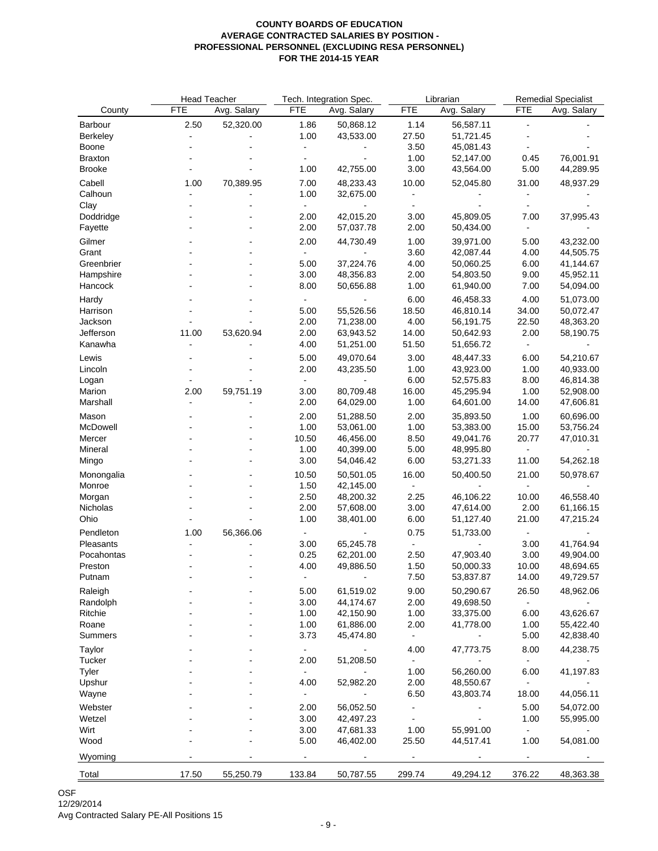|                 | <b>Head Teacher</b> |             |                              | Tech. Integration Spec.  |            | Librarian   |                | <b>Remedial Specialist</b> |
|-----------------|---------------------|-------------|------------------------------|--------------------------|------------|-------------|----------------|----------------------------|
| County          | <b>FTE</b>          | Avg. Salary | FTE                          | Avg. Salary              | <b>FTE</b> | Avg. Salary | <b>FTE</b>     | Avg. Salary                |
| Barbour         | 2.50                | 52,320.00   | 1.86                         | 50,868.12                | 1.14       | 56,587.11   | ä,             |                            |
| Berkeley        | $\blacksquare$      |             | 1.00                         | 43,533.00                | 27.50      | 51,721.45   |                |                            |
| Boone           |                     |             | $\qquad \qquad \blacksquare$ | $\overline{\phantom{0}}$ | 3.50       | 45,081.43   |                |                            |
| <b>Braxton</b>  |                     |             |                              |                          | 1.00       | 52,147.00   | 0.45           | 76,001.91                  |
| <b>Brooke</b>   |                     |             | 1.00                         | 42,755.00                | 3.00       | 43,564.00   | 5.00           | 44,289.95                  |
| Cabell          | 1.00                | 70,389.95   | 7.00                         | 48,233.43                | 10.00      | 52,045.80   | 31.00          | 48,937.29                  |
| Calhoun         |                     |             | 1.00                         | 32,675.00                |            |             |                |                            |
| Clay            |                     | ä,          |                              |                          | $\sim$     |             |                |                            |
| Doddridge       |                     |             | 2.00                         | 42,015.20                | 3.00       | 45,809.05   | 7.00           | 37,995.43                  |
| Fayette         |                     |             | 2.00                         | 57,037.78                | 2.00       | 50,434.00   |                |                            |
| Gilmer          |                     |             | 2.00                         | 44,730.49                | 1.00       | 39,971.00   | 5.00           | 43,232.00                  |
| Grant           |                     |             |                              |                          | 3.60       | 42,087.44   | 4.00           | 44,505.75                  |
| Greenbrier      |                     |             | 5.00                         | 37,224.76                | 4.00       | 50,060.25   | 6.00           | 41,144.67                  |
| Hampshire       |                     |             | 3.00                         | 48,356.83                | 2.00       | 54,803.50   | 9.00           | 45,952.11                  |
| Hancock         |                     |             | 8.00                         | 50,656.88                | 1.00       | 61,940.00   | 7.00           | 54,094.00                  |
| Hardy           |                     |             |                              |                          | 6.00       | 46,458.33   | 4.00           | 51,073.00                  |
| Harrison        |                     |             | 5.00                         | 55,526.56                | 18.50      | 46,810.14   | 34.00          | 50,072.47                  |
| Jackson         |                     |             | 2.00                         | 71,238.00                | 4.00       | 56,191.75   | 22.50          | 48,363.20                  |
| Jefferson       | 11.00               | 53,620.94   | 2.00                         | 63,943.52                | 14.00      | 50,642.93   | 2.00           | 58,190.75                  |
| Kanawha         |                     |             | 4.00                         | 51,251.00                | 51.50      | 51,656.72   |                |                            |
| Lewis           |                     |             | 5.00                         | 49,070.64                | 3.00       | 48,447.33   | 6.00           | 54,210.67                  |
| Lincoln         |                     |             | 2.00                         | 43,235.50                | 1.00       | 43,923.00   | 1.00           | 40,933.00                  |
| Logan           |                     |             | $\blacksquare$               |                          | 6.00       | 52,575.83   | 8.00           | 46,814.38                  |
| Marion          | 2.00                | 59,751.19   | 3.00                         | 80,709.48                | 16.00      | 45,295.94   | 1.00           | 52,908.00                  |
| Marshall        |                     |             | 2.00                         | 64,029.00                | 1.00       | 64,601.00   | 14.00          | 47,606.81                  |
| Mason           |                     |             | 2.00                         | 51,288.50                | 2.00       | 35,893.50   | 1.00           | 60,696.00                  |
| McDowell        |                     |             | 1.00                         | 53,061.00                | 1.00       | 53,383.00   | 15.00          | 53,756.24                  |
| Mercer          |                     |             | 10.50                        | 46,456.00                | 8.50       | 49,041.76   | 20.77          | 47,010.31                  |
| Mineral         |                     |             | 1.00                         | 40,399.00                | 5.00       | 48,995.80   | -              |                            |
| Mingo           |                     |             | 3.00                         | 54,046.42                | 6.00       | 53,271.33   | 11.00          | 54,262.18                  |
| Monongalia      |                     |             | 10.50                        | 50,501.05                | 16.00      | 50,400.50   | 21.00          | 50,978.67                  |
| Monroe          |                     |             | 1.50                         | 42,145.00                |            |             |                |                            |
| Morgan          |                     |             | 2.50                         | 48,200.32                | 2.25       | 46,106.22   | 10.00          | 46,558.40                  |
| Nicholas        |                     |             | 2.00                         | 57,608.00                | 3.00       | 47,614.00   | 2.00           | 61,166.15                  |
| Ohio            |                     |             | 1.00                         | 38,401.00                | 6.00       | 51,127.40   | 21.00          | 47,215.24                  |
| Pendleton       | 1.00                | 56,366.06   |                              |                          | 0.75       | 51,733.00   |                |                            |
| Pleasants       |                     |             | 3.00                         | 65,245.78                |            |             | 3.00           | 41,764.94                  |
| Pocahontas      |                     |             | 0.25                         | 62,201.00                | 2.50       | 47,903.40   | 3.00           | 49,904.00                  |
| Preston         |                     |             | 4.00                         | 49,886.50                | 1.50       | 50,000.33   | 10.00          | 48,694.65                  |
| Putnam          |                     |             |                              | $\blacksquare$           | 7.50       | 53,837.87   | 14.00          | 49,729.57                  |
| Raleigh         |                     |             | 5.00                         | 61,519.02                | 9.00       | 50,290.67   | 26.50          | 48,962.06                  |
| Randolph        |                     |             | 3.00                         | 44,174.67                | 2.00       | 49,698.50   |                |                            |
| Ritchie         |                     |             | 1.00                         | 42,150.90                | 1.00       | 33,375.00   | 6.00           | 43,626.67                  |
| Roane           |                     |             | 1.00                         | 61,886.00                | 2.00       | 41,778.00   | 1.00           | 55,422.40                  |
| Summers         |                     |             | 3.73                         | 45,474.80                |            |             | 5.00           | 42,838.40                  |
|                 |                     |             |                              |                          |            |             |                |                            |
| Taylor          |                     |             | $\qquad \qquad \blacksquare$ |                          | 4.00       | 47,773.75   | 8.00           | 44,238.75                  |
| Tucker<br>Tyler |                     |             | 2.00<br>$\sim$               | 51,208.50                | 1.00       | 56,260.00   | 6.00           | 41,197.83                  |
| Upshur          |                     |             | 4.00                         | 52,982.20                | 2.00       | 48,550.67   | $\blacksquare$ |                            |
| Wayne           |                     |             | ä,                           |                          | 6.50       | 43,803.74   | 18.00          | 44,056.11                  |
|                 |                     |             |                              |                          |            |             |                |                            |
| Webster         |                     |             | 2.00                         | 56,052.50                |            |             | 5.00           | 54,072.00                  |
| Wetzel          |                     |             | 3.00                         | 42,497.23                |            |             | 1.00           | 55,995.00                  |
| Wirt            |                     |             | 3.00                         | 47,681.33                | 1.00       | 55,991.00   |                |                            |
| Wood            |                     |             | 5.00                         | 46,402.00                | 25.50      | 44,517.41   | 1.00           | 54,081.00                  |
| Wyoming         |                     |             |                              |                          |            |             |                |                            |
| Total           | 17.50               | 55,250.79   | 133.84                       | 50,787.55                | 299.74     | 49,294.12   | 376.22         | 48,363.38                  |
|                 |                     |             |                              |                          |            |             |                |                            |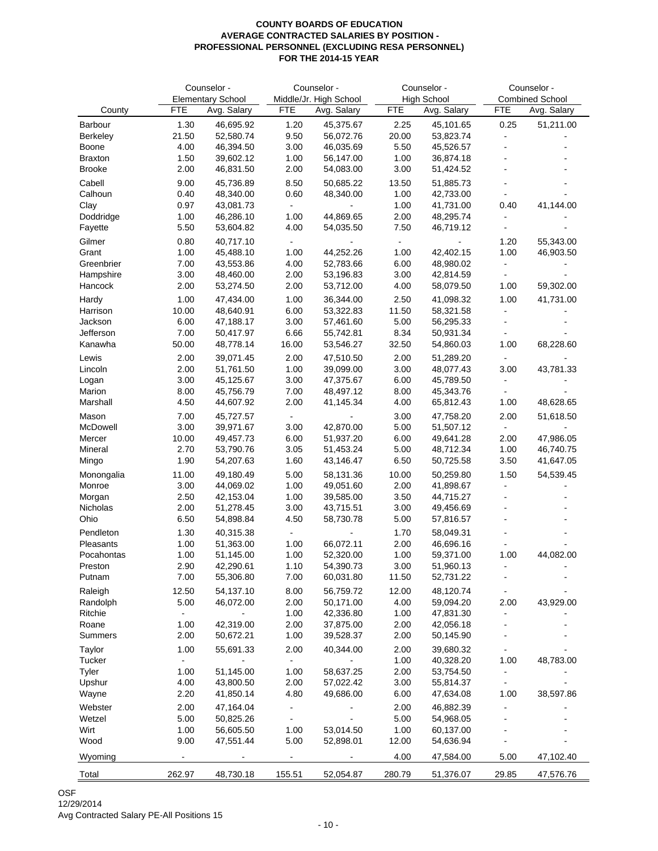| Counselor -<br>Counselor - |                |                          | Counselor -    | Counselor -            |                |                        |                          |                        |
|----------------------------|----------------|--------------------------|----------------|------------------------|----------------|------------------------|--------------------------|------------------------|
|                            |                | <b>Elementary School</b> |                | Middle/Jr. High School |                | <b>High School</b>     |                          | <b>Combined School</b> |
| County                     | <b>FTE</b>     | Avg. Salary              | <b>FTE</b>     | Avg. Salary            | <b>FTE</b>     | Avg. Salary            | <b>FTE</b>               | Avg. Salary            |
| Barbour                    | 1.30           | 46,695.92                | 1.20           | 45,375.67              | 2.25           | 45,101.65              | 0.25                     | 51,211.00              |
| Berkeley                   | 21.50          | 52,580.74                | 9.50           | 56,072.76              | 20.00          | 53,823.74              | $\overline{\phantom{a}}$ |                        |
| Boone                      | 4.00           | 46,394.50                | 3.00           | 46,035.69              | 5.50           | 45,526.57              |                          |                        |
| <b>Braxton</b>             | 1.50           | 39,602.12                | 1.00           | 56,147.00              | 1.00           | 36,874.18              |                          |                        |
| <b>Brooke</b>              | 2.00           | 46,831.50                | 2.00           | 54,083.00              | 3.00           | 51,424.52              | L,                       | $\blacksquare$         |
| Cabell                     | 9.00           | 45,736.89                | 8.50           | 50,685.22              | 13.50          | 51,885.73              |                          |                        |
| Calhoun                    | 0.40           | 48,340.00                | 0.60           | 48,340.00              | 1.00           | 42,733.00              | $\tilde{\phantom{a}}$    |                        |
| Clay                       | 0.97           | 43,081.73                | $\blacksquare$ |                        | 1.00           | 41,731.00              | 0.40                     | 41,144.00              |
| Doddridge<br>Fayette       | 1.00<br>5.50   | 46,286.10<br>53,604.82   | 1.00<br>4.00   | 44,869.65<br>54,035.50 | 2.00<br>7.50   | 48,295.74<br>46,719.12 |                          |                        |
| Gilmer                     | 0.80           | 40,717.10                | ÷.             |                        | $\overline{a}$ |                        | 1.20                     | 55,343.00              |
| Grant                      | 1.00           | 45,488.10                | 1.00           | 44,252.26              | 1.00           | 42,402.15              | 1.00                     | 46,903.50              |
| Greenbrier                 | 7.00           | 43,553.86                | 4.00           | 52,783.66              | 6.00           | 48,980.02              | $\blacksquare$           |                        |
| Hampshire                  | 3.00           | 48,460.00                | 2.00           | 53,196.83              | 3.00           | 42,814.59              |                          |                        |
| Hancock                    | 2.00           | 53,274.50                | 2.00           | 53,712.00              | 4.00           | 58,079.50              | 1.00                     | 59,302.00              |
| Hardy                      | 1.00           | 47,434.00                | 1.00           | 36,344.00              | 2.50           | 41,098.32              | 1.00                     | 41,731.00              |
| Harrison                   | 10.00          | 48,640.91                | 6.00           | 53,322.83              | 11.50          | 58,321.58              | $\blacksquare$           |                        |
| Jackson                    | 6.00           | 47,188.17                | 3.00           | 57,461.60              | 5.00           | 56,295.33              | $\frac{1}{2}$            |                        |
| Jefferson                  | 7.00           | 50,417.97                | 6.66           | 55,742.81              | 8.34           | 50,931.34              |                          |                        |
| Kanawha                    | 50.00          | 48,778.14                | 16.00          | 53,546.27              | 32.50          | 54,860.03              | 1.00                     | 68,228.60              |
| Lewis                      | 2.00           | 39,071.45                | 2.00           | 47,510.50              | 2.00           | 51,289.20              |                          |                        |
| Lincoln                    | 2.00           | 51,761.50                | 1.00           | 39,099.00              | 3.00           | 48,077.43              | 3.00                     | 43,781.33              |
| Logan                      | 3.00           | 45,125.67                | 3.00           | 47,375.67              | 6.00           | 45,789.50              | $\blacksquare$           |                        |
| Marion                     | 8.00           | 45,756.79                | 7.00           | 48,497.12              | 8.00           | 45,343.76              |                          |                        |
| Marshall                   | 4.50           | 44,607.92                | 2.00           | 41,145.34              | 4.00           | 65,812.43              | 1.00                     | 48,628.65              |
| Mason                      | 7.00           | 45,727.57                | $\blacksquare$ |                        | 3.00           | 47,758.20              | 2.00                     | 51,618.50              |
| McDowell                   | 3.00           | 39,971.67                | 3.00           | 42,870.00              | 5.00           | 51,507.12              | $\blacksquare$           |                        |
| Mercer                     | 10.00          | 49,457.73                | 6.00           | 51,937.20              | 6.00           | 49,641.28              | 2.00                     | 47,986.05              |
| Mineral                    | 2.70           | 53,790.76                | 3.05           | 51,453.24              | 5.00           | 48,712.34              | 1.00                     | 46,740.75              |
| Mingo                      | 1.90           | 54,207.63                | 1.60           | 43,146.47              | 6.50           | 50,725.58              | 3.50                     | 41,647.05              |
| Monongalia                 | 11.00          | 49,180.49                | 5.00           | 58,131.36              | 10.00          | 50,259.80              | 1.50                     | 54,539.45              |
| Monroe                     | 3.00           | 44,069.02                | 1.00           | 49,051.60              | 2.00           | 41,898.67              |                          |                        |
| Morgan                     | 2.50           | 42,153.04                | 1.00           | 39,585.00              | 3.50           | 44,715.27              |                          |                        |
| Nicholas                   | 2.00           | 51,278.45                | 3.00           | 43,715.51              | 3.00           | 49,456.69              |                          |                        |
| Ohio                       | 6.50           | 54,898.84                | 4.50           | 58,730.78              | 5.00           | 57,816.57              |                          |                        |
| Pendleton                  | 1.30           | 40,315.38                | $\blacksquare$ |                        | 1.70           | 58,049.31              |                          | $\blacksquare$         |
| Pleasants                  | 1.00           | 51,363.00                | 1.00           | 66,072.11              | 2.00           | 46,696.16              |                          |                        |
| Pocahontas                 | 1.00           | 51,145.00                | 1.00           | 52,320.00              | 1.00           | 59,371.00              | 1.00                     | 44,082.00              |
| Preston                    | 2.90           | 42,290.61                | 1.10           | 54,390.73              | 3.00           | 51,960.13              |                          |                        |
| Putnam                     | 7.00           | 55,306.80                | 7.00           | 60,031.80              | 11.50          | 52,731.22              |                          |                        |
| Raleigh                    | 12.50          | 54,137.10                | 8.00           | 56,759.72              | 12.00          | 48,120.74              |                          |                        |
| Randolph                   | 5.00           | 46,072.00                | 2.00           | 50,171.00              | 4.00           | 59,094.20              | 2.00                     | 43,929.00              |
| Ritchie                    | $\blacksquare$ |                          | 1.00           | 42,336.80              | 1.00           | 47,831.30              |                          |                        |
| Roane                      | 1.00           | 42,319.00                | 2.00           | 37,875.00              | 2.00           | 42,056.18              |                          |                        |
| Summers                    | 2.00           | 50,672.21                | 1.00           | 39,528.37              | 2.00           | 50,145.90              |                          |                        |
| Taylor                     | 1.00           | 55,691.33                | 2.00           | 40,344.00              | 2.00           | 39,680.32              |                          |                        |
| Tucker                     | $\blacksquare$ |                          | $\blacksquare$ |                        | 1.00           | 40,328.20              | 1.00                     | 48,783.00              |
| Tyler                      | 1.00           | 51,145.00                | 1.00           | 58,637.25              | 2.00           | 53,754.50              | $\blacksquare$           |                        |
| Upshur                     | 4.00           | 43,800.50                | 2.00           | 57,022.42              | 3.00           | 55,814.37              |                          |                        |
| Wayne                      | 2.20           | 41,850.14                | 4.80           | 49,686.00              | 6.00           | 47,634.08              | 1.00                     | 38,597.86              |
| Webster                    | 2.00           | 47,164.04                |                |                        | 2.00           | 46,882.39              |                          |                        |
| Wetzel                     | 5.00           | 50,825.26                | $\blacksquare$ |                        | 5.00           | 54,968.05              |                          |                        |
| Wirt                       | 1.00           | 56,605.50                | 1.00           | 53,014.50              | 1.00           | 60,137.00              |                          |                        |
| Wood                       | 9.00           | 47,551.44                | 5.00           | 52,898.01              | 12.00          | 54,636.94              |                          |                        |
| Wyoming                    |                |                          |                |                        | 4.00           | 47,584.00              | 5.00                     | 47,102.40              |
| Total                      | 262.97         | 48,730.18                | 155.51         | 52,054.87              | 280.79         | 51,376.07              | 29.85                    | 47,576.76              |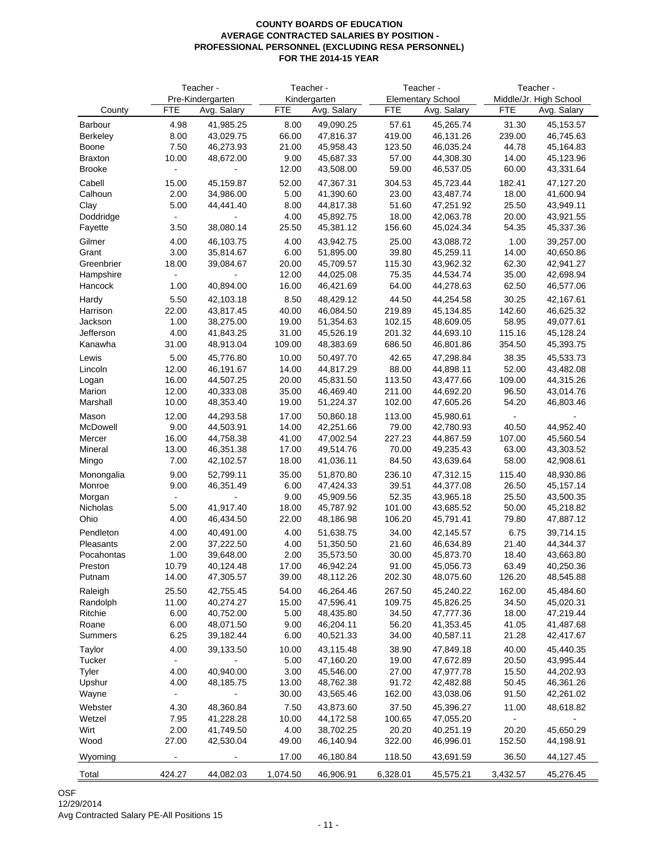|                        |                        | Teacher -<br>Teacher - |               |                        | Teacher -       | Teacher -                |                |                        |
|------------------------|------------------------|------------------------|---------------|------------------------|-----------------|--------------------------|----------------|------------------------|
|                        |                        | Pre-Kindergarten       |               | Kindergarten           |                 | <b>Elementary School</b> |                | Middle/Jr. High School |
| County                 | <b>FTE</b>             | Avg. Salary            | <b>FTE</b>    | Avg. Salary            | <b>FTE</b>      | Avg. Salary              | <b>FTE</b>     | Avg. Salary            |
| Barbour                | 4.98                   | 41,985.25              | 8.00          | 49,090.25              | 57.61           | 45,265.74                | 31.30          | 45,153.57              |
| Berkeley               | 8.00                   | 43,029.75              | 66.00         | 47,816.37              | 419.00          | 46,131.26                | 239.00         | 46,745.63              |
| Boone                  | 7.50                   | 46,273.93              | 21.00         | 45,958.43              | 123.50          | 46,035.24                | 44.78          | 45,164.83              |
| <b>Braxton</b>         | 10.00                  | 48,672.00              | 9.00          | 45,687.33              | 57.00           | 44,308.30                | 14.00          | 45,123.96              |
| <b>Brooke</b>          | $\blacksquare$         | $\blacksquare$         | 12.00         | 43,508.00              | 59.00           | 46,537.05                | 60.00          | 43,331.64              |
| Cabell                 | 15.00                  | 45,159.87              | 52.00         | 47,367.31              | 304.53          | 45,723.44                | 182.41         | 47,127.20              |
| Calhoun                | 2.00                   | 34,986.00              | 5.00          | 41,390.60              | 23.00           | 43,487.74                | 18.00          | 41,600.94              |
| Clay                   | 5.00                   | 44,441.40              | 8.00          | 44,817.38              | 51.60           | 47,251.92                | 25.50          | 43,949.11              |
| Doddridge<br>Fayette   | $\blacksquare$<br>3.50 | 38,080.14              | 4.00<br>25.50 | 45,892.75<br>45,381.12 | 18.00<br>156.60 | 42,063.78<br>45,024.34   | 20.00<br>54.35 | 43,921.55<br>45,337.36 |
| Gilmer                 | 4.00                   | 46,103.75              | 4.00          | 43,942.75              | 25.00           | 43,088.72                | 1.00           | 39,257.00              |
| Grant                  | 3.00                   | 35,814.67              | 6.00          | 51,895.00              | 39.80           | 45,259.11                | 14.00          | 40,650.86              |
| Greenbrier             | 18.00                  | 39,084.67              | 20.00         | 45,709.57              | 115.30          | 43,962.32                | 62.30          | 42,941.27              |
| Hampshire              |                        |                        | 12.00         | 44,025.08              | 75.35           | 44,534.74                | 35.00          | 42,698.94              |
| Hancock                | 1.00                   | 40,894.00              | 16.00         | 46,421.69              | 64.00           | 44,278.63                | 62.50          | 46,577.06              |
| Hardy                  | 5.50                   | 42,103.18              | 8.50          | 48,429.12              | 44.50           | 44,254.58                | 30.25          | 42,167.61              |
| Harrison               | 22.00                  | 43,817.45              | 40.00         | 46,084.50              | 219.89          | 45,134.85                | 142.60         | 46,625.32              |
| Jackson                | 1.00                   | 38,275.00              | 19.00         | 51,354.63              | 102.15          | 48,609.05                | 58.95          | 49,077.61              |
| Jefferson              | 4.00                   | 41,843.25              | 31.00         | 45,526.19              | 201.32          | 44,693.10                | 115.16         | 45,128.24              |
| Kanawha                | 31.00                  | 48,913.04              | 109.00        | 48,383.69              | 686.50          | 46,801.86                | 354.50         | 45,393.75              |
| Lewis                  | 5.00                   | 45,776.80              | 10.00         | 50,497.70              | 42.65           | 47,298.84                | 38.35          | 45.533.73              |
| Lincoln                | 12.00                  | 46,191.67              | 14.00         | 44,817.29              | 88.00           | 44,898.11                | 52.00          | 43,482.08              |
| Logan                  | 16.00                  | 44,507.25              | 20.00         | 45,831.50              | 113.50          | 43,477.66                | 109.00         | 44,315.26              |
| Marion                 | 12.00                  | 40,333.08              | 35.00         | 46,469.40              | 211.00          | 44,692.20                | 96.50          | 43,014.76              |
| Marshall               | 10.00                  | 48,353.40              | 19.00         | 51,224.37              | 102.00          | 47,605.26                | 54.20          | 46,803.46              |
| Mason                  | 12.00                  | 44,293.58              | 17.00         | 50,860.18              | 113.00          | 45,980.61                | $\blacksquare$ |                        |
| McDowell               | 9.00                   | 44,503.91              | 14.00         | 42,251.66              | 79.00           | 42,780.93                | 40.50          | 44,952.40              |
| Mercer                 | 16.00                  | 44,758.38              | 41.00         | 47,002.54              | 227.23          | 44,867.59                | 107.00         | 45,560.54              |
| Mineral                | 13.00                  | 46,351.38              | 17.00         | 49,514.76              | 70.00           | 49,235.43                | 63.00          | 43,303.52              |
| Mingo                  | 7.00                   | 42,102.57              | 18.00         | 41,036.11              | 84.50           | 43,639.64                | 58.00          | 42,908.61              |
| Monongalia             | 9.00                   | 52,799.11              | 35.00         | 51,870.80              | 236.10          | 47,312.15                | 115.40         | 48,930.86              |
| Monroe                 | 9.00                   | 46,351.49              | 6.00          | 47,424.33              | 39.51           | 44,377.08                | 26.50          | 45,157.14              |
| Morgan<br>Nicholas     | $\blacksquare$<br>5.00 | 41,917.40              | 9.00<br>18.00 | 45,909.56<br>45,787.92 | 52.35<br>101.00 | 43,965.18<br>43,685.52   | 25.50<br>50.00 | 43,500.35<br>45,218.82 |
| Ohio                   | 4.00                   | 46,434.50              | 22.00         | 48,186.98              | 106.20          | 45,791.41                | 79.80          | 47,887.12              |
|                        |                        |                        |               |                        |                 |                          |                |                        |
| Pendleton<br>Pleasants | 4.00<br>2.00           | 40,491.00<br>37,222.50 | 4.00<br>4.00  | 51,638.75<br>51,350.50 | 34.00<br>21.60  | 42,145.57<br>46,634.89   | 6.75<br>21.40  | 39,714.15<br>44,344.37 |
| Pocahontas             | 1.00                   | 39,648.00              | 2.00          | 35,573.50              | 30.00           | 45,873.70                | 18.40          | 43,663.80              |
| Preston                | 10.79                  | 40,124.48              | 17.00         | 46,942.24              | 91.00           | 45,056.73                | 63.49          | 40,250.36              |
| Putnam                 | 14.00                  | 47,305.57              | 39.00         | 48,112.26              | 202.30          | 48,075.60                | 126.20         | 48,545.88              |
| Raleigh                | 25.50                  | 42,755.45              | 54.00         | 46,264.46              | 267.50          | 45,240.22                | 162.00         | 45,484.60              |
| Randolph               | 11.00                  | 40,274.27              | 15.00         | 47,596.41              | 109.75          | 45,826.25                | 34.50          | 45,020.31              |
| Ritchie                | 6.00                   | 40,752.00              | 5.00          | 48,435.80              | 34.50           | 47,777.36                | 18.00          | 47,219.44              |
| Roane                  | 6.00                   | 48,071.50              | 9.00          | 46,204.11              | 56.20           | 41,353.45                | 41.05          | 41,487.68              |
| Summers                | 6.25                   | 39,182.44              | 6.00          | 40,521.33              | 34.00           | 40,587.11                | 21.28          | 42,417.67              |
| Taylor                 | 4.00                   | 39,133.50              | 10.00         | 43,115.48              | 38.90           | 47,849.18                | 40.00          | 45,440.35              |
| Tucker                 | $\blacksquare$         |                        | 5.00          | 47,160.20              | 19.00           | 47,672.89                | 20.50          | 43,995.44              |
| Tyler                  | 4.00                   | 40,940.00              | 3.00          | 45,546.00              | 27.00           | 47,977.78                | 15.50          | 44,202.93              |
| Upshur                 | 4.00                   | 48,185.75              | 13.00         | 48,762.38              | 91.72           | 42,482.88                | 50.45          | 46,361.26              |
| Wayne                  |                        |                        | 30.00         | 43,565.46              | 162.00          | 43,038.06                | 91.50          | 42,261.02              |
| Webster                | 4.30                   | 48,360.84              | 7.50          | 43,873.60              | 37.50           | 45,396.27                | 11.00          | 48,618.82              |
| Wetzel                 | 7.95                   | 41,228.28              | 10.00         | 44,172.58              | 100.65          | 47,055.20                | $\blacksquare$ |                        |
| Wirt                   | 2.00                   | 41,749.50              | 4.00          | 38,702.25              | 20.20           | 40,251.19                | 20.20          | 45,650.29              |
| Wood                   | 27.00                  | 42,530.04              | 49.00         | 46,140.94              | 322.00          | 46,996.01                | 152.50         | 44,198.91              |
| Wyoming                |                        |                        | 17.00         | 46,180.84              | 118.50          | 43,691.59                | 36.50          | 44,127.45              |
| Total                  | 424.27                 | 44,082.03              | 1,074.50      | 46,906.91              | 6,328.01        | 45,575.21                | 3,432.57       | 45,276.45              |
|                        |                        |                        |               |                        |                 |                          |                |                        |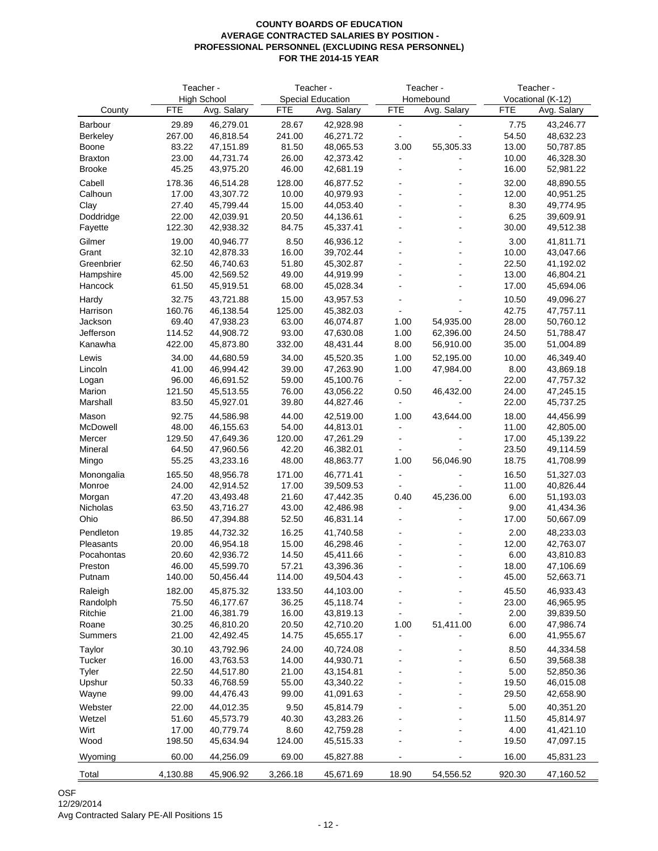|                     |                 | Teacher -              |                 | Teacher -                |                          | Teacher -            |                | Teacher -              |
|---------------------|-----------------|------------------------|-----------------|--------------------------|--------------------------|----------------------|----------------|------------------------|
|                     |                 | <b>High School</b>     |                 | <b>Special Education</b> |                          | Homebound            |                | Vocational (K-12)      |
| County              | <b>FTE</b>      | Avg. Salary            | <b>FTE</b>      | Avg. Salary              | <b>FTE</b>               | Avg. Salary          | <b>FTE</b>     | Avg. Salary            |
| Barbour             | 29.89           | 46,279.01              | 28.67           | 42,928.98                | $\overline{\phantom{a}}$ | $\overline{a}$       | 7.75           | 43,246.77              |
| Berkeley            | 267.00          | 46,818.54              | 241.00          | 46,271.72                | $\blacksquare$           |                      | 54.50          | 48,632.23              |
| Boone               | 83.22           | 47,151.89              | 81.50           | 48,065.53                | 3.00                     | 55,305.33            | 13.00          | 50,787.85              |
| <b>Braxton</b>      | 23.00           | 44,731.74              | 26.00           | 42,373.42                | $\overline{a}$           |                      | 10.00          | 46,328.30              |
| <b>Brooke</b>       | 45.25           | 43,975.20              | 46.00           | 42,681.19                |                          |                      | 16.00          | 52,981.22              |
| Cabell              | 178.36          | 46,514.28              | 128.00          | 46,877.52                |                          |                      | 32.00          | 48,890.55              |
| Calhoun             | 17.00<br>27.40  | 43,307.72              | 10.00           | 40,979.93                |                          | ä,                   | 12.00          | 40,951.25              |
| Clay<br>Doddridge   | 22.00           | 45,799.44<br>42,039.91 | 15.00<br>20.50  | 44,053.40<br>44,136.61   |                          |                      | 8.30<br>6.25   | 49,774.95<br>39,609.91 |
| Fayette             | 122.30          | 42,938.32              | 84.75           | 45,337.41                |                          |                      | 30.00          | 49,512.38              |
| Gilmer              | 19.00           | 40,946.77              | 8.50            | 46,936.12                |                          |                      | 3.00           | 41,811.71              |
| Grant               | 32.10           | 42,878.33              | 16.00           | 39,702.44                |                          | L,                   | 10.00          | 43,047.66              |
| Greenbrier          | 62.50           | 46,740.63              | 51.80           | 45,302.87                |                          | L,                   | 22.50          | 41,192.02              |
| Hampshire           | 45.00           | 42,569.52              | 49.00           | 44,919.99                |                          |                      | 13.00          | 46,804.21              |
| Hancock             | 61.50           | 45,919.51              | 68.00           | 45,028.34                |                          |                      | 17.00          | 45,694.06              |
| Hardy               | 32.75           | 43,721.88              | 15.00           | 43,957.53                |                          |                      | 10.50          | 49,096.27              |
| Harrison            | 160.76          | 46,138.54              | 125.00          | 45,382.03                |                          |                      | 42.75          | 47,757.11              |
| Jackson             | 69.40           | 47,938.23              | 63.00           | 46,074.87                | 1.00                     | 54,935.00            | 28.00          | 50,760.12              |
| Jefferson           | 114.52          | 44,908.72              | 93.00           | 47,630.08                | 1.00                     | 62,396.00            | 24.50          | 51,788.47              |
| Kanawha             | 422.00          | 45,873.80              | 332.00          | 48,431.44                | 8.00                     | 56,910.00            | 35.00          | 51,004.89              |
| Lewis               | 34.00           | 44,680.59              | 34.00           | 45,520.35                | 1.00                     | 52,195.00            | 10.00          | 46,349.40              |
| Lincoln             | 41.00           | 46,994.42              | 39.00           | 47,263.90                | 1.00                     | 47,984.00            | 8.00           | 43,869.18              |
| Logan<br>Marion     | 96.00<br>121.50 | 46,691.52<br>45,513.55 | 59.00<br>76.00  | 45,100.76<br>43,056.22   | ۰<br>0.50                | 46,432.00            | 22.00<br>24.00 | 47,757.32<br>47,245.15 |
| Marshall            | 83.50           | 45,927.01              | 39.80           | 44,827.46                | -                        |                      | 22.00          | 45,737.25              |
| Mason               | 92.75           | 44,586.98              | 44.00           | 42,519.00                | 1.00                     | 43,644.00            | 18.00          | 44,456.99              |
| McDowell            | 48.00           | 46,155.63              | 54.00           | 44,813.01                |                          |                      | 11.00          | 42,805.00              |
| Mercer              | 129.50          | 47,649.36              | 120.00          | 47,261.29                |                          |                      | 17.00          | 45,139.22              |
| Mineral             | 64.50           | 47,960.56              | 42.20           | 46,382.01                |                          |                      | 23.50          | 49,114.59              |
| Mingo               | 55.25           | 43,233.16              | 48.00           | 48,863.77                | 1.00                     | 56,046.90            | 18.75          | 41,708.99              |
| Monongalia          | 165.50          | 48,956.78              | 171.00          | 46,771.41                |                          |                      | 16.50          | 51,327.03              |
| Monroe              | 24.00           | 42,914.52              | 17.00           | 39,509.53                |                          |                      | 11.00          | 40,826.44              |
| Morgan              | 47.20           | 43,493.48              | 21.60           | 47,442.35                | 0.40                     | 45,236.00            | 6.00           | 51,193.03              |
| Nicholas            | 63.50           | 43,716.27              | 43.00           | 42,486.98                |                          |                      | 9.00           | 41,434.36              |
| Ohio                | 86.50           | 47,394.88              | 52.50           | 46,831.14                |                          |                      | 17.00          | 50,667.09              |
| Pendleton           | 19.85           | 44,732.32              | 16.25           | 41,740.58                |                          | $\ddot{\phantom{1}}$ | 2.00           | 48,233.03              |
| Pleasants           | 20.00           | 46,954.18              | 15.00           | 46,298.46                |                          |                      | 12.00          | 42,763.07              |
| Pocahontas          | 20.60           | 42,936.72              | 14.50           | 45,411.66                |                          | L,                   | 6.00           | 43,810.83              |
| Preston<br>Putnam   | 46.00<br>140.00 | 45,599.70<br>50,456.44 | 57.21<br>114.00 | 43,396.36<br>49,504.43   |                          | -                    | 18.00<br>45.00 | 47,106.69<br>52,663.71 |
|                     |                 |                        |                 |                          |                          |                      |                |                        |
| Raleigh<br>Randolph | 182.00<br>75.50 | 45,875.32<br>46,177.67 | 133.50<br>36.25 | 44,103.00<br>45,118.74   |                          | $\overline{a}$       | 45.50<br>23.00 | 46,933.43<br>46,965.95 |
| Ritchie             | 21.00           | 46,381.79              | 16.00           | 43,819.13                |                          |                      | 2.00           | 39,839.50              |
| Roane               | 30.25           | 46,810.20              | 20.50           | 42,710.20                | 1.00                     | 51,411.00            | 6.00           | 47,986.74              |
| Summers             | 21.00           | 42,492.45              | 14.75           | 45,655.17                |                          |                      | 6.00           | 41,955.67              |
| Taylor              | 30.10           | 43,792.96              | 24.00           | 40,724.08                |                          |                      | 8.50           | 44,334.58              |
| Tucker              | 16.00           | 43,763.53              | 14.00           | 44,930.71                |                          |                      | 6.50           | 39,568.38              |
| Tyler               | 22.50           | 44,517.80              | 21.00           | 43,154.81                |                          |                      | 5.00           | 52,850.36              |
| Upshur              | 50.33           | 46,768.59              | 55.00           | 43,340.22                |                          |                      | 19.50          | 46,015.08              |
| Wayne               | 99.00           | 44,476.43              | 99.00           | 41,091.63                |                          |                      | 29.50          | 42,658.90              |
| Webster             | 22.00           | 44,012.35              | 9.50            | 45,814.79                |                          |                      | 5.00           | 40,351.20              |
| Wetzel              | 51.60           | 45,573.79              | 40.30           | 43,283.26                |                          |                      | 11.50          | 45,814.97              |
| Wirt                | 17.00           | 40,779.74              | 8.60            | 42,759.28                |                          |                      | 4.00           | 41,421.10              |
| Wood                | 198.50          | 45,634.94              | 124.00          | 45,515.33                |                          |                      | 19.50          | 47,097.15              |
| Wyoming             | 60.00           | 44,256.09              | 69.00           | 45,827.88                |                          |                      | 16.00          | 45,831.23              |
| Total               | 4,130.88        | 45,906.92              | 3,266.18        | 45,671.69                | 18.90                    | 54,556.52            | 920.30         | 47,160.52              |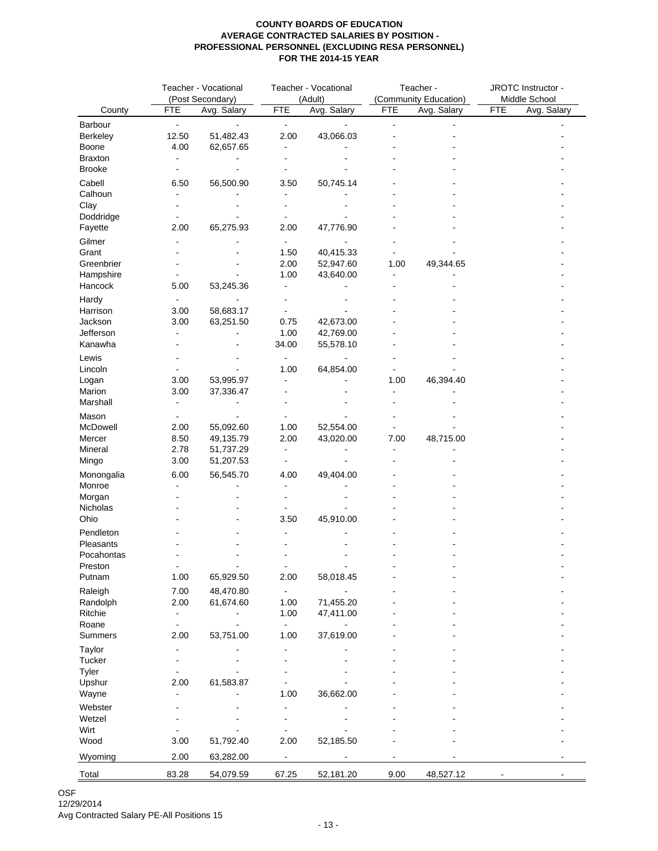|                      | Teacher - Vocational<br>(Post Secondary) |             | Teacher - Vocational<br>(Adult) |             | Teacher -<br>(Community Education) |             | JROTC Instructor -<br>Middle School |             |
|----------------------|------------------------------------------|-------------|---------------------------------|-------------|------------------------------------|-------------|-------------------------------------|-------------|
| County               | <b>FTE</b>                               | Avg. Salary | <b>FTE</b>                      | Avg. Salary | <b>FTE</b>                         | Avg. Salary | <b>FTE</b>                          | Avg. Salary |
| Barbour              | $\blacksquare$                           |             | $\blacksquare$                  |             |                                    |             |                                     |             |
| Berkeley             | 12.50                                    | 51,482.43   | 2.00                            | 43,066.03   |                                    |             |                                     |             |
| Boone                | 4.00                                     | 62,657.65   |                                 |             |                                    |             |                                     |             |
| Braxton              |                                          |             |                                 |             |                                    |             |                                     |             |
| <b>Brooke</b>        |                                          |             |                                 |             |                                    |             |                                     |             |
| Cabell               | 6.50                                     | 56,500.90   | 3.50                            | 50,745.14   |                                    |             |                                     |             |
| Calhoun              |                                          |             |                                 |             |                                    |             |                                     |             |
| Clay                 |                                          |             |                                 |             |                                    |             |                                     |             |
| Doddridge<br>Fayette | 2.00                                     | 65,275.93   | 2.00                            | 47,776.90   |                                    |             |                                     |             |
| Gilmer               |                                          |             |                                 |             |                                    |             |                                     |             |
| Grant                |                                          |             | 1.50                            | 40,415.33   |                                    |             |                                     |             |
| Greenbrier           |                                          |             | 2.00                            | 52,947.60   | 1.00                               | 49,344.65   |                                     |             |
| Hampshire            |                                          |             | 1.00                            | 43,640.00   |                                    |             |                                     |             |
| Hancock              | 5.00                                     | 53,245.36   |                                 |             |                                    |             |                                     |             |
| Hardy                |                                          |             |                                 |             |                                    |             |                                     |             |
| Harrison             | 3.00                                     | 58,683.17   |                                 |             |                                    |             |                                     |             |
| Jackson              | 3.00                                     | 63,251.50   | 0.75                            | 42,673.00   |                                    |             |                                     |             |
| Jefferson            |                                          |             | 1.00                            | 42,769.00   |                                    |             |                                     |             |
| Kanawha              |                                          |             | 34.00                           | 55,578.10   |                                    |             |                                     |             |
| Lewis                |                                          |             |                                 |             |                                    |             |                                     |             |
| Lincoln              |                                          |             | 1.00                            | 64,854.00   |                                    |             |                                     |             |
| Logan<br>Marion      | 3.00                                     | 53,995.97   |                                 |             | 1.00                               | 46,394.40   |                                     |             |
| Marshall             | 3.00                                     | 37,336.47   |                                 |             |                                    |             |                                     |             |
|                      |                                          |             |                                 |             |                                    |             |                                     |             |
| Mason<br>McDowell    | 2.00                                     | 55,092.60   | 1.00                            | 52,554.00   |                                    |             |                                     |             |
| Mercer               | 8.50                                     | 49,135.79   | 2.00                            | 43,020.00   | 7.00                               | 48,715.00   |                                     |             |
| Mineral              | 2.78                                     | 51,737.29   | $\sim$                          |             |                                    |             |                                     |             |
| Mingo                | 3.00                                     | 51,207.53   |                                 |             |                                    |             |                                     |             |
| Monongalia           | 6.00                                     | 56,545.70   | 4.00                            | 49,404.00   |                                    |             |                                     |             |
| Monroe               |                                          |             |                                 |             |                                    |             |                                     |             |
| Morgan               |                                          |             |                                 |             |                                    |             |                                     |             |
| Nicholas             |                                          |             |                                 |             |                                    |             |                                     |             |
| Ohio                 |                                          |             | 3.50                            | 45,910.00   |                                    |             |                                     |             |
| Pendleton            |                                          |             |                                 |             |                                    |             |                                     |             |
| Pleasants            |                                          |             |                                 |             |                                    |             |                                     |             |
| Pocahontas           |                                          |             |                                 |             |                                    |             |                                     |             |
| Preston<br>Putnam    | 1.00                                     | 65,929.50   | 2.00                            | 58,018.45   |                                    |             |                                     |             |
| Raleigh              | 7.00                                     | 48,470.80   |                                 |             |                                    |             |                                     |             |
| Randolph             | 2.00                                     | 61,674.60   | 1.00                            | 71,455.20   |                                    |             |                                     |             |
| Ritchie              |                                          |             | 1.00                            | 47,411.00   |                                    |             |                                     |             |
| Roane                |                                          |             | $\blacksquare$                  |             |                                    |             |                                     |             |
| Summers              | 2.00                                     | 53,751.00   | 1.00                            | 37,619.00   |                                    |             |                                     |             |
| Taylor               |                                          |             |                                 |             |                                    |             |                                     |             |
| Tucker               |                                          |             |                                 |             |                                    |             |                                     |             |
| Tyler                |                                          |             |                                 |             |                                    |             |                                     |             |
| Upshur               | 2.00                                     | 61,583.87   |                                 |             |                                    |             |                                     |             |
| Wayne                |                                          |             | 1.00                            | 36,662.00   |                                    |             |                                     |             |
| Webster              |                                          |             |                                 |             |                                    |             |                                     |             |
| Wetzel<br>Wirt       |                                          |             |                                 |             |                                    |             |                                     |             |
| Wood                 | 3.00                                     | 51,792.40   | 2.00                            | 52,185.50   |                                    |             |                                     |             |
|                      |                                          |             |                                 |             |                                    |             |                                     |             |
| Wyoming              | 2.00                                     | 63,282.00   |                                 |             |                                    |             |                                     |             |
| Total                | 83.28                                    | 54,079.59   | 67.25                           | 52,181.20   | 9.00                               | 48,527.12   |                                     |             |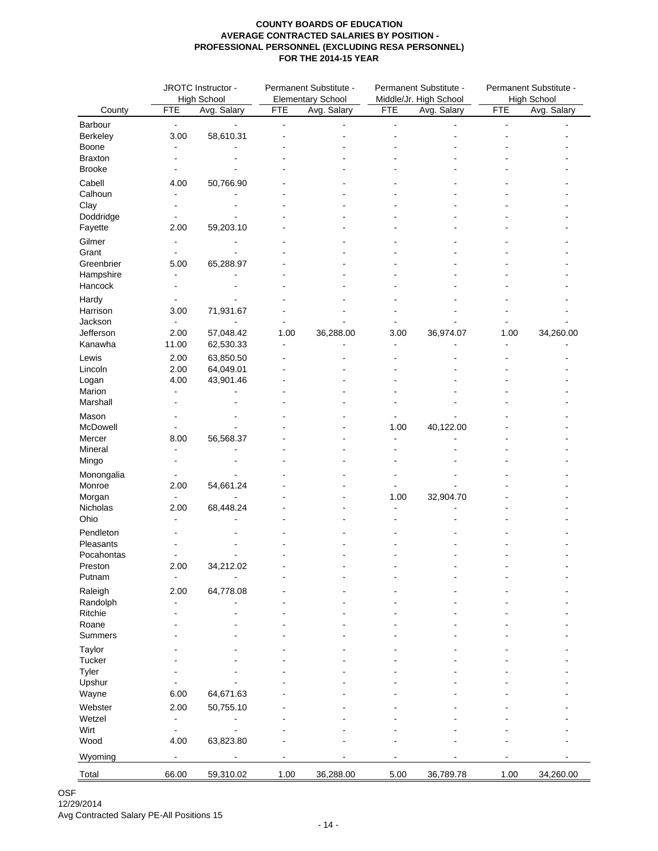|                   |                              | JROTC Instructor - | Permanent Substitute - |                          |                | Permanent Substitute - | Permanent Substitute - |                    |  |
|-------------------|------------------------------|--------------------|------------------------|--------------------------|----------------|------------------------|------------------------|--------------------|--|
|                   |                              | <b>High School</b> |                        | <b>Elementary School</b> |                | Middle/Jr. High School |                        | <b>High School</b> |  |
| County            | <b>FTE</b>                   | Avg. Salary        | <b>FTE</b>             | Avg. Salary              | <b>FTE</b>     | Avg. Salary            | <b>FTE</b>             | Avg. Salary        |  |
| Barbour           | $\blacksquare$               |                    | $\overline{a}$         |                          | $\blacksquare$ |                        | $\blacksquare$         |                    |  |
| Berkeley          | 3.00                         | 58,610.31          |                        |                          |                |                        |                        |                    |  |
| Boone             |                              |                    |                        |                          |                |                        |                        |                    |  |
| <b>Braxton</b>    |                              |                    |                        |                          |                |                        |                        |                    |  |
| <b>Brooke</b>     |                              |                    |                        |                          |                |                        |                        |                    |  |
| Cabell            | 4.00                         | 50,766.90          |                        |                          |                |                        |                        |                    |  |
| Calhoun           |                              |                    |                        |                          |                |                        |                        |                    |  |
| Clay<br>Doddridge |                              |                    |                        |                          |                |                        |                        |                    |  |
| Fayette           | 2.00                         | 59,203.10          |                        |                          |                |                        |                        |                    |  |
|                   |                              |                    |                        |                          |                |                        |                        |                    |  |
| Gilmer<br>Grant   | $\blacksquare$               |                    |                        |                          |                |                        |                        |                    |  |
| Greenbrier        | 5.00                         | 65,288.97          |                        |                          |                |                        |                        |                    |  |
| Hampshire         |                              |                    |                        |                          |                |                        |                        |                    |  |
| Hancock           | $\blacksquare$               |                    |                        |                          |                |                        |                        |                    |  |
| Hardy             |                              |                    |                        |                          |                |                        |                        |                    |  |
| Harrison          | 3.00                         | 71,931.67          |                        |                          |                |                        |                        |                    |  |
| Jackson           | $\overline{a}$               |                    |                        |                          |                |                        |                        |                    |  |
| Jefferson         | 2.00                         | 57,048.42          | 1.00                   | 36,288.00                | 3.00           | 36,974.07              | 1.00                   | 34,260.00          |  |
| Kanawha           | 11.00                        | 62,530.33          |                        |                          |                |                        |                        |                    |  |
| Lewis             | 2.00                         | 63,850.50          |                        |                          |                |                        |                        |                    |  |
| Lincoln           | 2.00                         | 64,049.01          |                        |                          |                |                        |                        |                    |  |
| Logan             | 4.00                         | 43,901.46          |                        |                          |                |                        |                        |                    |  |
| Marion            | $\blacksquare$               |                    |                        |                          |                |                        |                        |                    |  |
| Marshall          | $\overline{\phantom{a}}$     |                    |                        |                          |                |                        |                        |                    |  |
| Mason             |                              |                    |                        |                          |                |                        |                        |                    |  |
| McDowell          |                              |                    |                        |                          | 1.00           | 40,122.00              |                        |                    |  |
| Mercer            | 8.00                         | 56,568.37          |                        |                          | $\blacksquare$ |                        |                        |                    |  |
| Mineral           |                              |                    |                        |                          |                |                        |                        |                    |  |
| Mingo             |                              |                    |                        |                          |                |                        |                        |                    |  |
| Monongalia        |                              |                    |                        |                          |                |                        |                        |                    |  |
| Monroe            | 2.00                         | 54,661.24          |                        |                          |                |                        |                        |                    |  |
| Morgan            | L,                           | ÷.                 |                        |                          | 1.00           | 32,904.70              |                        |                    |  |
| Nicholas          | 2.00                         | 68,448.24          |                        |                          | $\blacksquare$ |                        |                        |                    |  |
| Ohio              |                              |                    |                        |                          |                |                        |                        |                    |  |
| Pendleton         |                              |                    |                        |                          |                |                        |                        |                    |  |
| Pleasants         |                              |                    |                        |                          |                |                        |                        |                    |  |
| Pocahontas        |                              |                    |                        |                          |                |                        |                        |                    |  |
| Preston           | 2.00                         | 34,212.02          |                        |                          |                |                        |                        |                    |  |
| Putnam            | $\blacksquare$               |                    |                        |                          |                |                        |                        |                    |  |
| Raleigh           | 2.00                         | 64,778.08          |                        |                          |                |                        |                        |                    |  |
| Randolph          |                              |                    |                        |                          |                |                        |                        |                    |  |
| Ritchie           |                              |                    |                        |                          |                |                        |                        |                    |  |
| Roane<br>Summers  |                              |                    |                        |                          |                |                        |                        |                    |  |
|                   |                              |                    |                        |                          |                |                        |                        |                    |  |
| Taylor            |                              |                    |                        |                          |                |                        |                        |                    |  |
| Tucker<br>Tyler   |                              |                    |                        |                          |                |                        |                        |                    |  |
| Upshur            |                              |                    |                        |                          |                |                        |                        |                    |  |
| Wayne             | 6.00                         | 64,671.63          |                        |                          |                |                        |                        |                    |  |
|                   |                              | 50,755.10          |                        |                          |                |                        |                        |                    |  |
| Webster<br>Wetzel | 2.00<br>÷                    |                    |                        |                          |                |                        |                        |                    |  |
| Wirt              | $\qquad \qquad \blacksquare$ |                    |                        |                          |                |                        |                        |                    |  |
| Wood              | 4.00                         | 63,823.80          |                        |                          |                |                        |                        |                    |  |
|                   |                              |                    |                        |                          |                |                        |                        |                    |  |
| Wyoming           | $\blacksquare$               |                    |                        |                          |                |                        |                        |                    |  |
| Total             | 66.00                        | 59,310.02          | 1.00                   | 36,288.00                | 5.00           | 36,789.78              | 1.00                   | 34,260.00          |  |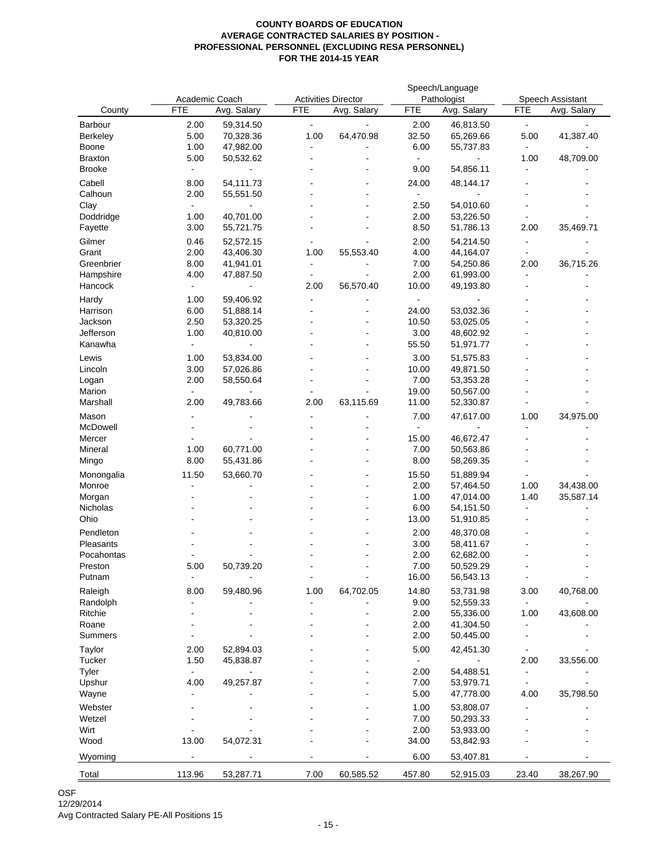|                |                |             |                            |             |            | Speech/Language |                |                  |  |
|----------------|----------------|-------------|----------------------------|-------------|------------|-----------------|----------------|------------------|--|
|                | Academic Coach |             | <b>Activities Director</b> |             |            | Pathologist     |                | Speech Assistant |  |
| County         | <b>FTE</b>     | Avg. Salary | <b>FTE</b>                 | Avg. Salary | <b>FTE</b> | Avg. Salary     | FTE            | Avg. Salary      |  |
| Barbour        | 2.00           | 59,314.50   | $\blacksquare$             |             | 2.00       | 46,813.50       | $\blacksquare$ |                  |  |
| Berkeley       | 5.00           | 70,328.36   | 1.00                       | 64,470.98   | 32.50      | 65,269.66       | 5.00           | 41,387.40        |  |
| Boone          | 1.00           | 47,982.00   |                            |             | 6.00       | 55,737.83       |                |                  |  |
| <b>Braxton</b> | 5.00           | 50,532.62   |                            |             |            |                 | 1.00           | 48,709.00        |  |
| <b>Brooke</b>  | L,             |             |                            |             | 9.00       | 54,856.11       |                |                  |  |
| Cabell         | 8.00           | 54,111.73   |                            |             | 24.00      | 48,144.17       |                |                  |  |
| Calhoun        | 2.00           | 55,551.50   |                            |             | $\sim$     |                 |                |                  |  |
| Clay           | $\blacksquare$ |             |                            |             | 2.50       | 54,010.60       |                |                  |  |
| Doddridge      | 1.00           | 40,701.00   |                            |             | 2.00       | 53,226.50       |                |                  |  |
| Fayette        | 3.00           | 55,721.75   |                            |             | 8.50       | 51,786.13       | 2.00           | 35,469.71        |  |
| Gilmer         | 0.46           | 52,572.15   |                            |             | 2.00       | 54,214.50       |                |                  |  |
| Grant          | 2.00           | 43,406.30   | 1.00                       | 55,553.40   | 4.00       | 44,164.07       |                |                  |  |
| Greenbrier     | 8.00           | 41,941.01   | ۰                          |             | 7.00       | 54,250.86       | 2.00           | 36,715.26        |  |
| Hampshire      | 4.00           | 47,887.50   | $\blacksquare$             |             | 2.00       | 61,993.00       | $\overline{a}$ |                  |  |
| Hancock        |                |             | 2.00                       | 56,570.40   | 10.00      | 49,193.80       |                |                  |  |
| Hardy          | 1.00           | 59,406.92   |                            |             |            |                 |                |                  |  |
| Harrison       | 6.00           | 51,888.14   |                            |             | 24.00      | 53,032.36       |                |                  |  |
| Jackson        | 2.50           | 53,320.25   |                            |             | 10.50      | 53,025.05       |                |                  |  |
| Jefferson      | 1.00           | 40,810.00   |                            |             | 3.00       | 48,602.92       |                |                  |  |
| Kanawha        | $\overline{a}$ |             |                            |             | 55.50      | 51,971.77       |                |                  |  |
|                |                |             |                            |             |            |                 |                |                  |  |
| Lewis          | 1.00           | 53,834.00   |                            |             | 3.00       | 51,575.83       |                |                  |  |
| Lincoln        | 3.00           | 57,026.86   |                            |             | 10.00      | 49,871.50       |                |                  |  |
| Logan          | 2.00           | 58,550.64   |                            |             | 7.00       | 53,353.28       |                |                  |  |
| Marion         | $\blacksquare$ |             |                            |             | 19.00      | 50,567.00       |                |                  |  |
| Marshall       | 2.00           | 49,783.66   | 2.00                       | 63,115.69   | 11.00      | 52,330.87       |                |                  |  |
| Mason          |                |             |                            |             | 7.00       | 47,617.00       | 1.00           | 34,975.00        |  |
| McDowell       |                |             |                            |             |            |                 |                |                  |  |
| Mercer         |                |             |                            |             | 15.00      | 46,672.47       |                |                  |  |
| Mineral        | 1.00           | 60,771.00   |                            |             | 7.00       | 50,563.86       |                |                  |  |
| Mingo          | 8.00           | 55,431.86   |                            |             | 8.00       | 58,269.35       |                |                  |  |
| Monongalia     | 11.50          | 53,660.70   |                            |             | 15.50      | 51,889.94       |                |                  |  |
| Monroe         |                |             |                            |             | 2.00       | 57,464.50       | 1.00           | 34,438.00        |  |
| Morgan         |                |             |                            |             | 1.00       | 47,014.00       | 1.40           | 35,587.14        |  |
| Nicholas       |                |             |                            |             | 6.00       | 54,151.50       |                |                  |  |
| Ohio           |                |             |                            |             | 13.00      | 51,910.85       |                |                  |  |
| Pendleton      |                |             |                            |             | 2.00       | 48,370.08       |                |                  |  |
| Pleasants      |                |             |                            |             | 3.00       | 58,411.67       |                |                  |  |
| Pocahontas     |                |             |                            |             | 2.00       | 62,682.00       |                |                  |  |
| Preston        | 5.00           | 50,739.20   |                            |             | 7.00       | 50,529.29       |                |                  |  |
| Putnam         | $\overline{a}$ |             | $\blacksquare$             | ä,          | 16.00      | 56,543.13       | $\blacksquare$ |                  |  |
| Raleigh        | 8.00           | 59,480.96   | 1.00                       | 64,702.05   | 14.80      | 53,731.98       | 3.00           | 40,768.00        |  |
| Randolph       |                |             |                            |             | 9.00       | 52,559.33       |                |                  |  |
| Ritchie        |                |             |                            |             | 2.00       | 55,336.00       | 1.00           | 43,608.00        |  |
| Roane          |                |             |                            |             | 2.00       | 41,304.50       |                |                  |  |
| Summers        |                |             |                            |             | 2.00       | 50,445.00       |                |                  |  |
| Taylor         | 2.00           | 52,894.03   |                            |             | 5.00       | 42,451.30       |                |                  |  |
| Tucker         | 1.50           | 45,838.87   |                            |             |            |                 | 2.00           | 33,556.00        |  |
| Tyler          |                |             |                            |             | 2.00       | 54,488.51       |                |                  |  |
| Upshur         | 4.00           | 49,257.87   |                            |             | 7.00       | 53,979.71       |                |                  |  |
| Wayne          |                |             |                            |             | 5.00       | 47,778.00       | 4.00           | 35,798.50        |  |
| Webster        |                |             |                            |             | 1.00       | 53,808.07       |                |                  |  |
| Wetzel         |                |             |                            |             | 7.00       | 50,293.33       |                |                  |  |
| Wirt           |                |             |                            |             | 2.00       | 53,933.00       |                |                  |  |
| Wood           | 13.00          | 54,072.31   |                            |             | 34.00      | 53,842.93       |                |                  |  |
|                |                |             |                            |             |            |                 |                |                  |  |
| Wyoming        |                |             |                            |             | 6.00       | 53,407.81       |                |                  |  |
| Total          | 113.96         | 53,287.71   | 7.00                       | 60,585.52   | 457.80     | 52,915.03       | 23.40          | 38,267.90        |  |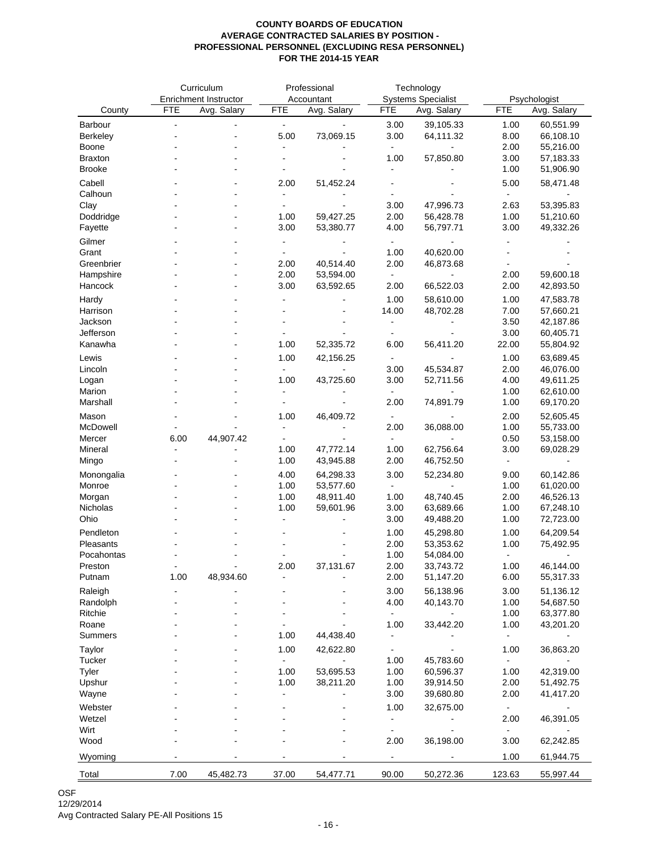|                      | Curriculum |                       | Professional   |                        | Technology                   |             |                |                        |
|----------------------|------------|-----------------------|----------------|------------------------|------------------------------|-------------|----------------|------------------------|
|                      |            | Enrichment Instructor |                | Accountant             | <b>Systems Specialist</b>    |             | Psychologist   |                        |
| County               | <b>FTE</b> | Avg. Salary           | <b>FTE</b>     | Avg. Salary            | <b>FTE</b>                   | Avg. Salary | <b>FTE</b>     | Avg. Salary            |
| Barbour              |            | ä,                    | ÷,             |                        | 3.00                         | 39,105.33   | 1.00           | 60,551.99              |
| Berkeley             |            |                       | 5.00           | 73,069.15              | 3.00                         | 64,111.32   | 8.00           | 66,108.10              |
| Boone                |            |                       |                |                        | $\blacksquare$               |             | 2.00           | 55,216.00              |
| <b>Braxton</b>       |            |                       |                |                        | 1.00                         | 57,850.80   | 3.00           | 57,183.33              |
| <b>Brooke</b>        |            |                       |                |                        |                              |             | 1.00           | 51,906.90              |
| Cabell               |            |                       | 2.00           | 51,452.24              |                              |             | 5.00           | 58,471.48              |
| Calhoun              |            |                       |                |                        |                              |             |                |                        |
| Clay                 |            |                       |                |                        | 3.00                         | 47,996.73   | 2.63           | 53,395.83              |
| Doddridge            |            |                       | 1.00           | 59,427.25              | 2.00                         | 56,428.78   | 1.00           | 51,210.60              |
| Fayette              |            |                       | 3.00           | 53,380.77              | 4.00                         | 56,797.71   | 3.00           | 49,332.26              |
| Gilmer               |            |                       |                |                        |                              |             |                |                        |
| Grant                |            |                       |                |                        | 1.00                         | 40,620.00   |                |                        |
| Greenbrier           |            |                       | 2.00           | 40,514.40              | 2.00                         | 46,873.68   |                |                        |
| Hampshire            |            |                       | 2.00           | 53,594.00              | $\blacksquare$               |             | 2.00           | 59,600.18              |
| Hancock              |            |                       | 3.00           | 63,592.65              | 2.00                         | 66,522.03   | 2.00           | 42,893.50              |
| Hardy                |            |                       |                |                        | 1.00                         | 58,610.00   | 1.00           | 47,583.78              |
| Harrison             |            |                       |                |                        | 14.00                        | 48,702.28   | 7.00           | 57,660.21              |
| Jackson              |            |                       |                |                        |                              |             | 3.50           | 42,187.86              |
| Jefferson            |            |                       |                |                        |                              |             | 3.00           | 60,405.71              |
| Kanawha              |            |                       | 1.00           | 52,335.72              | 6.00                         | 56,411.20   | 22.00          | 55,804.92              |
| Lewis                |            |                       | 1.00           | 42,156.25              |                              |             | 1.00           | 63,689.45              |
| Lincoln              |            |                       |                |                        | 3.00                         | 45,534.87   | 2.00           | 46,076.00              |
| Logan                |            |                       | 1.00           | 43,725.60              | 3.00                         | 52,711.56   | 4.00           | 49,611.25              |
| Marion               |            |                       | $\overline{a}$ |                        |                              |             | 1.00           | 62,610.00              |
| Marshall             |            |                       |                |                        | 2.00                         | 74,891.79   | 1.00           | 69,170.20              |
| Mason                |            |                       | 1.00           | 46,409.72              | $\blacksquare$               |             | 2.00           | 52,605.45              |
| McDowell             |            |                       |                | $\blacksquare$         | 2.00                         | 36,088.00   | 1.00           | 55,733.00              |
| Mercer               | 6.00       | 44,907.42             |                |                        |                              |             | 0.50           | 53,158.00              |
| Mineral              |            |                       | 1.00           | 47,772.14              | 1.00                         | 62,756.64   | 3.00           | 69,028.29              |
| Mingo                |            |                       | 1.00           | 43,945.88              | 2.00                         | 46,752.50   | $\blacksquare$ |                        |
|                      |            |                       |                |                        |                              |             |                |                        |
| Monongalia<br>Monroe |            |                       | 4.00<br>1.00   | 64,298.33<br>53,577.60 | 3.00<br>$\blacksquare$       | 52,234.80   | 9.00<br>1.00   | 60,142.86<br>61,020.00 |
| Morgan               |            |                       | 1.00           | 48,911.40              | 1.00                         | 48,740.45   | 2.00           | 46,526.13              |
| Nicholas             |            |                       | 1.00           | 59,601.96              | 3.00                         | 63,689.66   | 1.00           | 67,248.10              |
| Ohio                 |            |                       |                |                        | 3.00                         | 49,488.20   | 1.00           | 72,723.00              |
| Pendleton            |            |                       |                |                        | 1.00                         | 45,298.80   | 1.00           | 64,209.54              |
| Pleasants            |            |                       |                |                        | 2.00                         | 53,353.62   | 1.00           | 75,492.95              |
| Pocahontas           |            |                       |                |                        | 1.00                         | 54,084.00   | $\blacksquare$ |                        |
|                      |            |                       | 2.00           | 37,131.67              | 2.00                         | 33,743.72   | 1.00           | 46,144.00              |
| Preston<br>Putnam    | 1.00       | 48,934.60             |                |                        | 2.00                         | 51,147.20   | 6.00           | 55,317.33              |
|                      |            |                       |                |                        |                              |             |                |                        |
| Raleigh              |            |                       |                |                        | 3.00<br>4.00                 | 56,138.96   | 3.00<br>1.00   | 51,136.12<br>54,687.50 |
| Randolph<br>Ritchie  |            |                       |                |                        |                              | 40,143.70   | 1.00           |                        |
| Roane                |            |                       |                |                        | 1.00                         | 33,442.20   | 1.00           | 63,377.80<br>43,201.20 |
| <b>Summers</b>       |            |                       | 1.00           | 44,438.40              | $\frac{1}{2}$                |             | $\blacksquare$ |                        |
|                      |            |                       |                |                        |                              |             |                |                        |
| Taylor               |            |                       | 1.00           | 42,622.80              | $\blacksquare$               |             | 1.00           | 36,863.20              |
| Tucker               |            |                       | $\overline{a}$ | ä,                     | 1.00                         | 45,783.60   | $\blacksquare$ |                        |
| Tyler                |            |                       | 1.00           | 53,695.53              | 1.00<br>1.00                 | 60,596.37   | 1.00           | 42,319.00              |
| Upshur               |            |                       | 1.00           | 38,211.20              |                              | 39,914.50   | 2.00<br>2.00   | 51,492.75              |
| Wayne                |            |                       |                |                        | 3.00                         | 39,680.80   |                | 41,417.20              |
| Webster              |            |                       |                |                        | 1.00                         | 32,675.00   | $\blacksquare$ |                        |
| Wetzel               |            |                       |                |                        | $\qquad \qquad \blacksquare$ |             | 2.00           | 46,391.05              |
| Wirt                 |            |                       |                |                        | $\blacksquare$               |             |                |                        |
| Wood                 |            |                       |                |                        | 2.00                         | 36,198.00   | 3.00           | 62,242.85              |
| Wyoming              |            |                       |                |                        | $\blacksquare$               |             | 1.00           | 61,944.75              |
| Total                | 7.00       | 45,482.73             | 37.00          | 54,477.71              | 90.00                        | 50,272.36   | 123.63         | 55,997.44              |
|                      |            |                       |                |                        |                              |             |                |                        |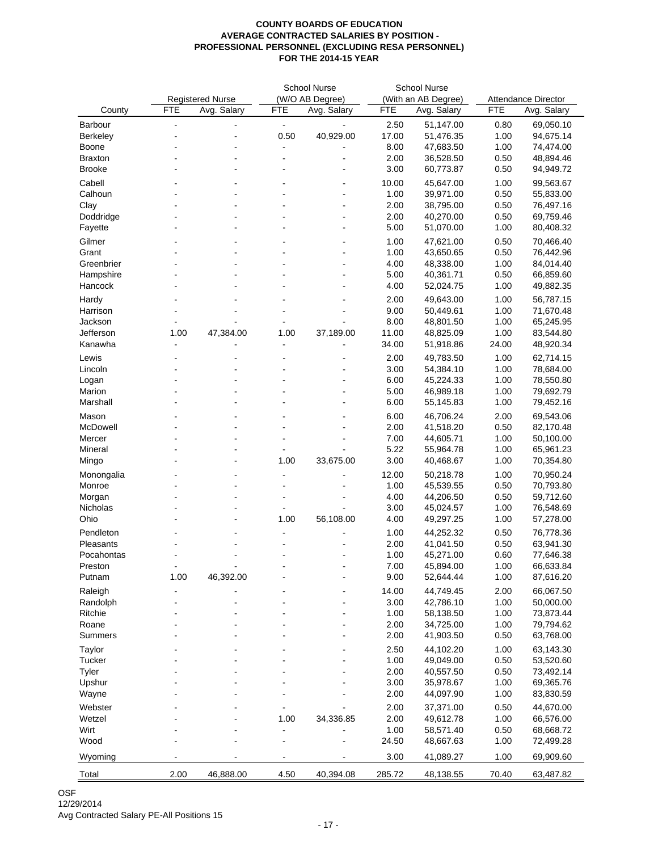|                |                |                         | <b>School Nurse</b> |                 | <b>School Nurse</b> |                        |                            |             |
|----------------|----------------|-------------------------|---------------------|-----------------|---------------------|------------------------|----------------------------|-------------|
|                |                | <b>Registered Nurse</b> |                     | (W/O AB Degree) | (With an AB Degree) |                        | <b>Attendance Director</b> |             |
| County         | <b>FTE</b>     | Avg. Salary             | <b>FTE</b>          | Avg. Salary     | <b>FTE</b>          | Avg. Salary            | <b>FTE</b>                 | Avg. Salary |
| <b>Barbour</b> | $\overline{a}$ |                         | ä,                  |                 | 2.50                | 51,147.00              | 0.80                       | 69,050.10   |
| Berkeley       |                |                         | 0.50                | 40,929.00       | 17.00               | 51,476.35              | 1.00                       | 94,675.14   |
| Boone          |                |                         |                     |                 | 8.00                | 47,683.50              | 1.00                       | 74,474.00   |
| <b>Braxton</b> |                |                         | ۰                   |                 | 2.00                | 36,528.50              | 0.50                       | 48,894.46   |
| <b>Brooke</b>  |                | $\blacksquare$          | $\blacksquare$      |                 | 3.00                | 60,773.87              | 0.50                       | 94,949.72   |
|                |                |                         |                     |                 |                     |                        |                            |             |
| Cabell         |                |                         |                     |                 | 10.00               | 45,647.00              | 1.00                       | 99,563.67   |
| Calhoun        |                |                         |                     |                 | 1.00                | 39,971.00              | 0.50                       | 55,833.00   |
| Clay           |                |                         |                     |                 | 2.00                | 38,795.00              | 0.50                       | 76,497.16   |
| Doddridge      |                |                         |                     |                 | 2.00<br>5.00        | 40,270.00              | 0.50<br>1.00               | 69,759.46   |
| Fayette        |                |                         |                     |                 |                     | 51,070.00              |                            | 80,408.32   |
| Gilmer         |                |                         |                     |                 | 1.00                | 47,621.00              | 0.50                       | 70,466.40   |
| Grant          |                |                         |                     |                 | 1.00                | 43,650.65              | 0.50                       | 76,442.96   |
| Greenbrier     |                |                         |                     |                 | 4.00                | 48,338.00              | 1.00                       | 84,014.40   |
| Hampshire      |                |                         |                     |                 | 5.00                | 40,361.71              | 0.50                       | 66,859.60   |
| Hancock        |                |                         |                     |                 | 4.00                | 52,024.75              | 1.00                       | 49,882.35   |
| Hardy          |                |                         |                     |                 | 2.00                | 49,643.00              | 1.00                       | 56,787.15   |
| Harrison       |                |                         |                     |                 | 9.00                | 50,449.61              | 1.00                       | 71,670.48   |
| Jackson        |                |                         |                     |                 | 8.00                | 48,801.50              | 1.00                       | 65,245.95   |
| Jefferson      | 1.00           | 47,384.00               | 1.00                | 37,189.00       | 11.00               | 48,825.09              | 1.00                       | 83,544.80   |
| Kanawha        |                |                         |                     |                 | 34.00               | 51,918.86              | 24.00                      | 48,920.34   |
| Lewis          |                |                         |                     |                 | 2.00                | 49,783.50              | 1.00                       | 62,714.15   |
| Lincoln        |                |                         |                     |                 | 3.00                | 54,384.10              | 1.00                       | 78,684.00   |
| Logan          |                |                         |                     |                 | 6.00                | 45,224.33              | 1.00                       | 78,550.80   |
| Marion         |                |                         |                     |                 | 5.00                | 46,989.18              | 1.00                       | 79,692.79   |
| Marshall       |                |                         |                     |                 | 6.00                | 55,145.83              | 1.00                       | 79,452.16   |
| Mason          |                |                         |                     |                 | 6.00                | 46,706.24              | 2.00                       | 69,543.06   |
| McDowell       |                | $\blacksquare$          | $\blacksquare$      | $\blacksquare$  | 2.00                | 41,518.20              | 0.50                       | 82,170.48   |
| Mercer         |                | ä,                      |                     |                 | 7.00                | 44,605.71              | 1.00                       | 50,100.00   |
| Mineral        |                |                         |                     |                 | 5.22                | 55,964.78              | 1.00                       | 65,961.23   |
| Mingo          |                |                         | 1.00                | 33,675.00       | 3.00                | 40,468.67              | 1.00                       | 70,354.80   |
| Monongalia     |                |                         |                     |                 | 12.00               | 50,218.78              | 1.00                       | 70,950.24   |
| Monroe         |                |                         |                     |                 | 1.00                | 45,539.55              | 0.50                       | 70,793.80   |
| Morgan         |                |                         |                     |                 | 4.00                | 44,206.50              | 0.50                       | 59,712.60   |
| Nicholas       |                |                         |                     |                 | 3.00                | 45,024.57              | 1.00                       | 76,548.69   |
| Ohio           |                |                         | 1.00                | 56,108.00       | 4.00                | 49,297.25              | 1.00                       | 57,278.00   |
|                |                |                         |                     |                 |                     |                        |                            |             |
| Pendleton      |                |                         |                     |                 | 1.00                | 44,252.32              | 0.50                       | 76,778.36   |
| Pleasants      |                |                         |                     |                 | 2.00                | 41,041.50              | 0.50                       | 63,941.30   |
| Pocahontas     |                |                         |                     |                 | 1.00                | 45,271.00              | 0.60                       | 77,646.38   |
| Preston        |                |                         |                     |                 | 7.00                | 45,894.00<br>52,644.44 | 1.00                       | 66,633.84   |
| Putnam         | 1.00           | 46,392.00               |                     |                 | 9.00                |                        | 1.00                       | 87,616.20   |
| Raleigh        |                |                         |                     |                 | 14.00               | 44,749.45              | 2.00                       | 66,067.50   |
| Randolph       |                |                         |                     |                 | 3.00                | 42,786.10              | 1.00                       | 50,000.00   |
| Ritchie        |                |                         |                     |                 | 1.00                | 58,138.50              | 1.00                       | 73,873.44   |
| Roane          |                |                         |                     |                 | 2.00                | 34,725.00              | 1.00                       | 79,794.62   |
| Summers        |                |                         |                     |                 | 2.00                | 41,903.50              | 0.50                       | 63,768.00   |
| Taylor         |                |                         |                     |                 | 2.50                | 44,102.20              | 1.00                       | 63,143.30   |
| Tucker         |                |                         |                     |                 | 1.00                | 49,049.00              | 0.50                       | 53,520.60   |
| Tyler          |                |                         |                     |                 | 2.00                | 40,557.50              | 0.50                       | 73,492.14   |
| Upshur         |                |                         |                     |                 | 3.00                | 35,978.67              | 1.00                       | 69,365.76   |
| Wayne          |                |                         |                     |                 | 2.00                | 44,097.90              | 1.00                       | 83,830.59   |
| Webster        |                |                         |                     |                 | 2.00                | 37,371.00              | 0.50                       | 44,670.00   |
| Wetzel         |                |                         | 1.00                | 34,336.85       | 2.00                | 49,612.78              | 1.00                       | 66,576.00   |
| Wirt           |                |                         | ÷                   |                 | 1.00                | 58,571.40              | 0.50                       | 68,668.72   |
| Wood           |                |                         |                     |                 | 24.50               | 48,667.63              | 1.00                       | 72,499.28   |
|                |                |                         |                     |                 |                     |                        |                            |             |
| Wyoming        |                |                         |                     |                 | 3.00                | 41,089.27              | 1.00                       | 69,909.60   |
| Total          | 2.00           | 46,888.00               | 4.50                | 40,394.08       | 285.72              | 48,138.55              | 70.40                      | 63,487.82   |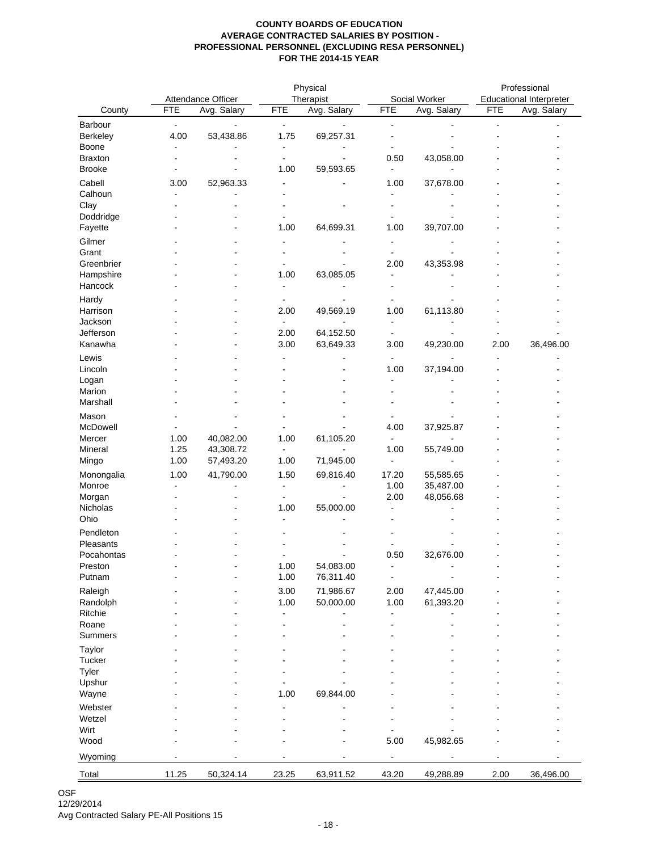|                         |                                                  |             | Physical     |                        |                                |             | Professional |             |
|-------------------------|--------------------------------------------------|-------------|--------------|------------------------|--------------------------------|-------------|--------------|-------------|
|                         | Attendance Officer<br>Therapist<br>Social Worker |             |              |                        | <b>Educational Interpreter</b> |             |              |             |
| County                  | <b>FTE</b>                                       | Avg. Salary | <b>FTE</b>   | Avg. Salary            | <b>FTE</b>                     | Avg. Salary | <b>FTE</b>   | Avg. Salary |
| Barbour                 | $\blacksquare$                                   |             | ۰.           |                        | L.                             |             |              |             |
| Berkeley                | 4.00                                             | 53,438.86   | 1.75         | 69,257.31              |                                |             |              |             |
| Boone<br><b>Braxton</b> | $\blacksquare$                                   |             | ÷            |                        | 0.50                           | 43,058.00   |              |             |
| <b>Brooke</b>           | $\overline{\phantom{a}}$                         |             | 1.00         | 59,593.65              | 4                              |             |              |             |
| Cabell                  | 3.00                                             | 52,963.33   |              |                        | 1.00                           | 37,678.00   |              |             |
| Calhoun                 |                                                  |             |              |                        |                                |             |              |             |
| Clay                    |                                                  |             |              |                        |                                |             |              |             |
| Doddridge               |                                                  |             |              |                        |                                |             |              |             |
| Fayette                 |                                                  |             | 1.00         | 64,699.31              | 1.00                           | 39,707.00   |              |             |
| Gilmer                  |                                                  |             |              |                        |                                |             |              |             |
| Grant                   |                                                  |             |              |                        |                                |             |              |             |
| Greenbrier              |                                                  |             |              |                        | 2.00                           | 43,353.98   |              |             |
| Hampshire<br>Hancock    |                                                  |             | 1.00         | 63,085.05              |                                |             |              |             |
|                         |                                                  |             |              |                        |                                |             |              |             |
| Hardy<br>Harrison       |                                                  |             | 2.00         | 49,569.19              | 1.00                           | 61,113.80   |              |             |
| Jackson                 |                                                  |             |              |                        |                                |             |              |             |
| Jefferson               |                                                  |             | 2.00         | 64,152.50              |                                |             |              |             |
| Kanawha                 |                                                  |             | 3.00         | 63,649.33              | 3.00                           | 49,230.00   | 2.00         | 36,496.00   |
| Lewis                   |                                                  |             |              |                        |                                |             |              |             |
| Lincoln                 |                                                  |             |              |                        | 1.00                           | 37,194.00   |              |             |
| Logan                   |                                                  |             |              |                        |                                |             |              |             |
| Marion                  |                                                  |             |              |                        |                                |             |              |             |
| Marshall                |                                                  |             |              |                        |                                |             |              |             |
| Mason                   |                                                  |             |              |                        |                                |             |              |             |
| McDowell<br>Mercer      | 1.00                                             | 40,082.00   | 1.00         | 61,105.20              | 4.00                           | 37,925.87   |              |             |
| Mineral                 | 1.25                                             | 43,308.72   |              |                        | 1.00                           | 55,749.00   |              |             |
| Mingo                   | 1.00                                             | 57,493.20   | 1.00         | 71,945.00              | L.                             |             |              |             |
| Monongalia              | 1.00                                             | 41,790.00   | 1.50         | 69,816.40              | 17.20                          | 55,585.65   |              |             |
| Monroe                  |                                                  |             |              |                        | 1.00                           | 35,487.00   |              |             |
| Morgan                  |                                                  |             |              |                        | 2.00                           | 48,056.68   |              |             |
| Nicholas                |                                                  |             | 1.00         | 55,000.00              | $\blacksquare$                 |             |              |             |
| Ohio                    |                                                  |             |              |                        |                                |             |              |             |
| Pendleton               |                                                  |             |              |                        |                                |             |              |             |
| Pleasants               |                                                  |             |              |                        |                                |             |              |             |
| Pocahontas              |                                                  |             |              |                        | 0.50                           | 32,676.00   |              |             |
| Preston<br>Putnam       |                                                  |             | 1.00<br>1.00 | 54,083.00<br>76,311.40 | $\blacksquare$                 |             |              |             |
| Raleigh                 |                                                  |             | 3.00         | 71,986.67              | 2.00                           | 47,445.00   |              |             |
| Randolph                |                                                  |             | 1.00         | 50,000.00              | 1.00                           | 61,393.20   |              |             |
| Ritchie                 |                                                  |             |              |                        |                                |             |              |             |
| Roane                   |                                                  |             |              |                        |                                |             |              |             |
| Summers                 |                                                  |             |              |                        |                                |             |              |             |
| Taylor                  |                                                  |             |              |                        |                                |             |              |             |
| Tucker                  |                                                  |             |              |                        |                                |             |              |             |
| Tyler                   |                                                  |             |              |                        |                                |             |              |             |
| Upshur                  |                                                  |             |              |                        |                                |             |              |             |
| Wayne                   |                                                  |             | 1.00         | 69,844.00              |                                |             |              |             |
| Webster                 |                                                  |             |              |                        |                                |             |              |             |
| Wetzel<br>Wirt          |                                                  |             |              |                        |                                |             |              |             |
| Wood                    |                                                  |             |              |                        | 5.00                           | 45,982.65   |              |             |
|                         |                                                  |             |              |                        |                                |             |              |             |
| Wyoming                 |                                                  |             |              |                        |                                |             |              |             |
| Total                   | 11.25                                            | 50,324.14   | 23.25        | 63,911.52              | 43.20                          | 49,288.89   | 2.00         | 36,496.00   |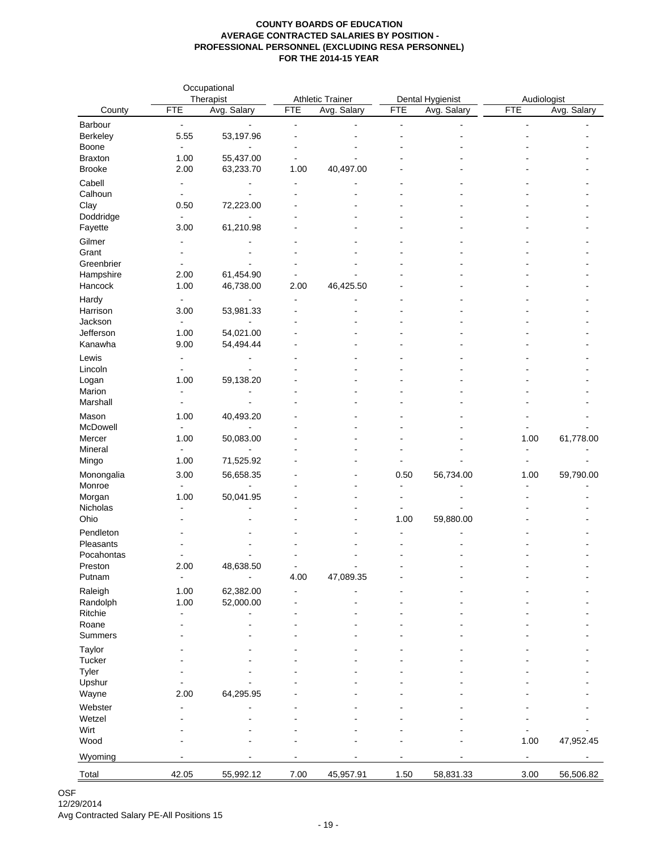|                         | Occupational<br>Therapist        |                             | <b>Athletic Trainer</b> |             | Dental Hygienist     |                | Audiologist    |             |
|-------------------------|----------------------------------|-----------------------------|-------------------------|-------------|----------------------|----------------|----------------|-------------|
| County                  | <b>FTE</b>                       | Avg. Salary                 | <b>FTE</b>              | Avg. Salary | <b>FTE</b>           | Avg. Salary    | <b>FTE</b>     | Avg. Salary |
| Barbour                 | $\blacksquare$                   | ä,                          | $\blacksquare$          |             | $\blacksquare$       |                | ä,             |             |
| Berkeley                | 5.55                             | 53,197.96                   | $\overline{a}$          |             |                      |                |                |             |
| Boone                   | $\blacksquare$                   | $\blacksquare$              | $\blacksquare$          |             |                      |                |                |             |
| <b>Braxton</b>          | 1.00                             | 55,437.00                   | $\sim$                  |             |                      |                |                |             |
| <b>Brooke</b>           | 2.00                             | 63,233.70                   | 1.00                    | 40,497.00   |                      |                |                |             |
| Cabell<br>Calhoun       | $\blacksquare$<br>$\blacksquare$ | $\blacksquare$              | $\overline{a}$          |             |                      |                |                |             |
| Clay                    | 0.50                             | 72,223.00                   |                         |             |                      |                |                |             |
| Doddridge               | ä,                               |                             |                         |             |                      |                |                |             |
| Fayette                 | 3.00                             | 61,210.98                   |                         |             |                      |                |                |             |
| Gilmer                  |                                  |                             |                         |             |                      |                |                |             |
| Grant                   | ٠                                |                             |                         |             |                      |                |                |             |
| Greenbrier              | ä,                               |                             |                         |             |                      |                |                |             |
| Hampshire               | 2.00                             | 61,454.90                   | $\overline{a}$          |             |                      |                |                |             |
| Hancock                 | 1.00                             | 46,738.00                   | 2.00                    | 46,425.50   |                      |                |                |             |
| Hardy<br>Harrison       | $\blacksquare$<br>3.00           | $\blacksquare$              | $\blacksquare$<br>۰     |             |                      |                |                |             |
| Jackson                 |                                  | 53,981.33                   |                         |             |                      |                |                |             |
| Jefferson               | 1.00                             | 54,021.00                   |                         |             |                      |                |                |             |
| Kanawha                 | 9.00                             | 54,494.44                   |                         |             |                      |                |                |             |
| Lewis                   | ä,                               | $\overline{a}$              |                         |             |                      |                |                |             |
| Lincoln                 | ۰                                | $\blacksquare$              |                         |             |                      |                |                |             |
| Logan                   | 1.00                             | 59,138.20                   |                         |             |                      |                |                |             |
| Marion                  | ä,                               | $\blacksquare$              |                         |             |                      |                |                |             |
| Marshall                | ۰                                |                             |                         |             |                      |                |                |             |
| Mason                   | 1.00                             | 40,493.20                   |                         |             |                      |                |                |             |
| McDowell<br>Mercer      | ä,<br>1.00                       | $\blacksquare$<br>50,083.00 |                         |             |                      |                | 1.00           | 61,778.00   |
| Mineral                 |                                  |                             |                         |             |                      |                | $\overline{a}$ |             |
| Mingo                   | 1.00                             | 71,525.92                   |                         |             |                      |                | $\blacksquare$ |             |
| Monongalia              | 3.00                             | 56,658.35                   |                         |             | 0.50                 | 56,734.00      | 1.00           | 59,790.00   |
| Monroe                  | ÷.                               |                             |                         |             | $\ddot{\phantom{a}}$ |                |                |             |
| Morgan                  | 1.00                             | 50,041.95                   |                         |             |                      |                |                |             |
| Nicholas                |                                  |                             | ۰                       | L.          | $\blacksquare$       | $\blacksquare$ |                |             |
| Ohio                    |                                  |                             | ÷                       | L.          | 1.00                 | 59,880.00      |                |             |
| Pendleton               |                                  |                             |                         |             |                      |                |                |             |
| Pleasants<br>Pocahontas |                                  |                             |                         |             |                      |                |                |             |
| Preston                 | 2.00                             | 48,638.50                   | $\blacksquare$          | ä,          |                      |                |                |             |
| Putnam                  | $\blacksquare$                   |                             | 4.00                    | 47,089.35   |                      |                |                |             |
| Raleigh                 | 1.00                             | 62,382.00                   |                         |             |                      |                |                |             |
| Randolph                | 1.00                             | 52,000.00                   |                         |             |                      |                |                |             |
| Ritchie                 |                                  |                             |                         |             |                      |                |                |             |
| Roane                   |                                  |                             |                         |             |                      |                |                |             |
| Summers                 |                                  |                             |                         |             |                      |                |                |             |
| Taylor<br>Tucker        |                                  |                             |                         |             |                      |                |                |             |
| Tyler                   |                                  |                             |                         |             |                      |                |                |             |
| Upshur                  |                                  |                             |                         |             |                      |                |                |             |
| Wayne                   | 2.00                             | 64,295.95                   |                         |             |                      |                |                |             |
| Webster                 |                                  |                             |                         |             |                      |                |                |             |
| Wetzel                  |                                  |                             |                         |             |                      |                |                |             |
| Wirt                    |                                  |                             |                         |             |                      |                |                |             |
| Wood                    |                                  |                             |                         |             |                      |                | 1.00           | 47,952.45   |
| Wyoming                 |                                  |                             |                         |             |                      |                |                |             |
| Total                   | 42.05                            | 55,992.12                   | 7.00                    | 45,957.91   | 1.50                 | 58,831.33      | 3.00           | 56,506.82   |